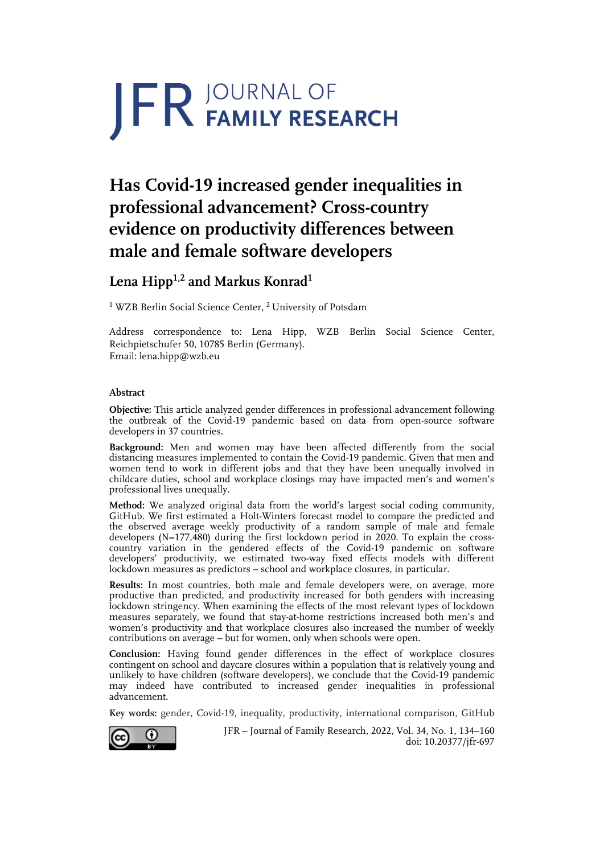# JFR JOURNAL OF

# **Has Covid-19 increased gender inequalities in professional advancement? Cross-country evidence on productivity differences between male and female software developers**

# **Lena Hipp1,2 and Markus Konrad1**

<sup>1</sup> WZB Berlin Social Science Center, <sup>2</sup> University of Potsdam

Address correspondence to: Lena Hipp, WZB Berlin Social Science Center, Reichpietschufer 50, 10785 Berlin (Germany). Email: lena.hipp@wzb.eu

## **Abstract**

**Objective:** This article analyzed gender differences in professional advancement following the outbreak of the Covid-19 pandemic based on data from open-source software developers in 37 countries.

**Background:** Men and women may have been affected differently from the social distancing measures implemented to contain the Covid-19 pandemic. Given that men and women tend to work in different jobs and that they have been unequally involved in childcare duties, school and workplace closings may have impacted men's and women's professional lives unequally.

**Method:** We analyzed original data from the world's largest social coding community, GitHub. We first estimated a Holt-Winters forecast model to compare the predicted and the observed average weekly productivity of a random sample of male and female developers (N=177,480) during the first lockdown period in 2020. To explain the crosscountry variation in the gendered effects of the Covid-19 pandemic on software developers' productivity, we estimated two-way fixed effects models with different lockdown measures as predictors – school and workplace closures, in particular.

**Results:** In most countries, both male and female developers were, on average, more productive than predicted, and productivity increased for both genders with increasing lockdown stringency. When examining the effects of the most relevant types of lockdown measures separately, we found that stay-at-home restrictions increased both men's and women's productivity and that workplace closures also increased the number of weekly contributions on average – but for women, only when schools were open.

**Conclusion:** Having found gender differences in the effect of workplace closures contingent on school and daycare closures within a population that is relatively young and unlikely to have children (software developers), we conclude that the Covid-19 pandemic may indeed have contributed to increased gender inequalities in professional advancement.

**Key words:** gender, Covid-19, inequality, productivity, international comparison, GitHub



JFR – Journal of Family Research, 2022, Vol. 34, No. 1, 134–160 doi: 10.20377/jfr-697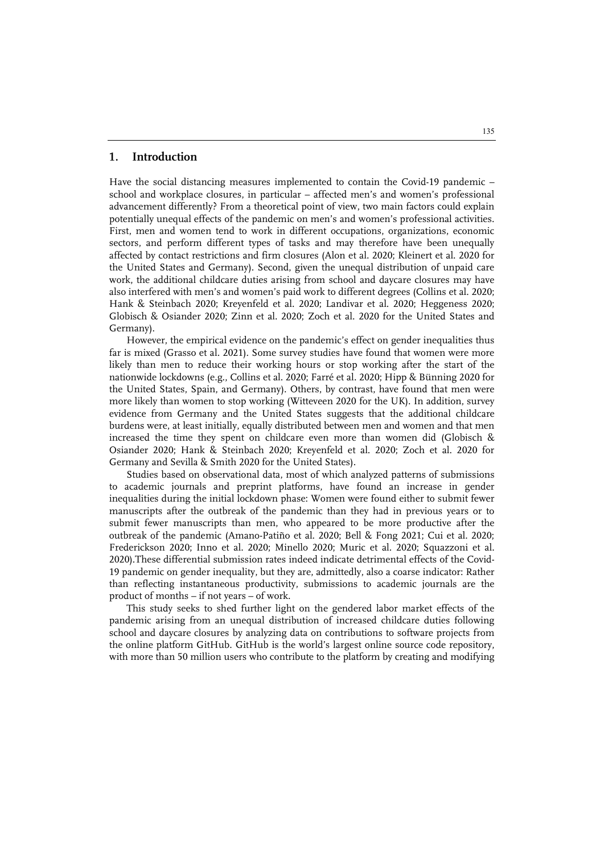#### **1. Introduction**

Have the social distancing measures implemented to contain the Covid-19 pandemic – school and workplace closures, in particular – affected men's and women's professional advancement differently? From a theoretical point of view, two main factors could explain potentially unequal effects of the pandemic on men's and women's professional activities. First, men and women tend to work in different occupations, organizations, economic sectors, and perform different types of tasks and may therefore have been unequally affected by contact restrictions and firm closures (Alon et al. 2020; Kleinert et al. 2020 for the United States and Germany). Second, given the unequal distribution of unpaid care work, the additional childcare duties arising from school and daycare closures may have also interfered with men's and women's paid work to different degrees (Collins et al. 2020; Hank & Steinbach 2020; Kreyenfeld et al. 2020; Landivar et al. 2020; Heggeness 2020; Globisch & Osiander 2020; Zinn et al. 2020; Zoch et al. 2020 for the United States and Germany).

However, the empirical evidence on the pandemic's effect on gender inequalities thus far is mixed (Grasso et al. 2021). Some survey studies have found that women were more likely than men to reduce their working hours or stop working after the start of the nationwide lockdowns (e.g., Collins et al. 2020; Farré et al. 2020; Hipp & Bünning 2020 for the United States, Spain, and Germany). Others, by contrast, have found that men were more likely than women to stop working (Witteveen 2020 for the UK). In addition, survey evidence from Germany and the United States suggests that the additional childcare burdens were, at least initially, equally distributed between men and women and that men increased the time they spent on childcare even more than women did (Globisch & Osiander 2020; Hank & Steinbach 2020; Kreyenfeld et al. 2020; Zoch et al. 2020 for Germany and Sevilla & Smith 2020 for the United States).

Studies based on observational data, most of which analyzed patterns of submissions to academic journals and preprint platforms, have found an increase in gender inequalities during the initial lockdown phase: Women were found either to submit fewer manuscripts after the outbreak of the pandemic than they had in previous years or to submit fewer manuscripts than men, who appeared to be more productive after the outbreak of the pandemic (Amano-Patiño et al. 2020; Bell & Fong 2021; Cui et al. 2020; Frederickson 2020; Inno et al. 2020; Minello 2020; Muric et al. 2020; Squazzoni et al. 2020).These differential submission rates indeed indicate detrimental effects of the Covid-19 pandemic on gender inequality, but they are, admittedly, also a coarse indicator: Rather than reflecting instantaneous productivity, submissions to academic journals are the product of months – if not years – of work.

This study seeks to shed further light on the gendered labor market effects of the pandemic arising from an unequal distribution of increased childcare duties following school and daycare closures by analyzing data on contributions to software projects from the online platform GitHub. GitHub is the world's largest online source code repository, with more than 50 million users who contribute to the platform by creating and modifying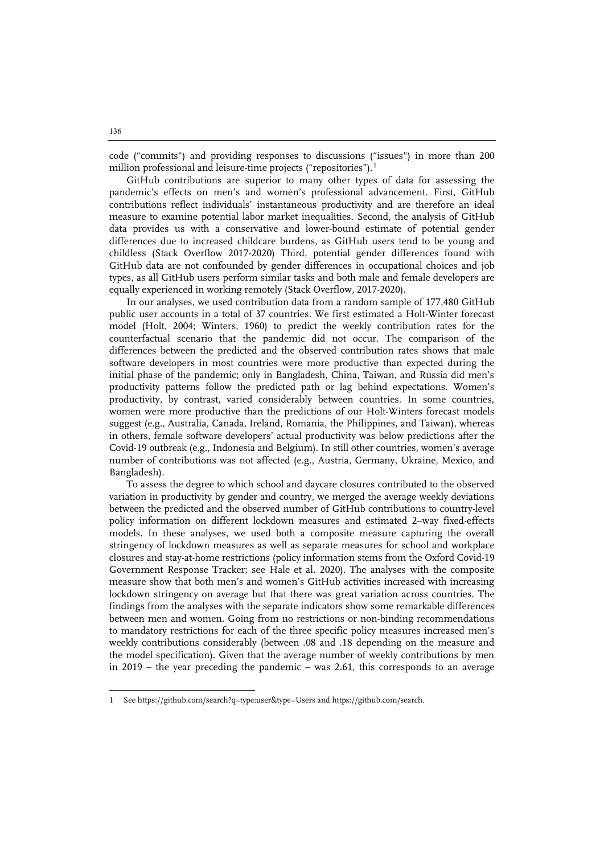code ("commits") and providing responses to discussions ("issues") in more than 200 million professional and leisure-time projects ("repositories").<sup>[1](#page-2-0)</sup>

GitHub contributions are superior to many other types of data for assessing the pandemic's effects on men's and women's professional advancement. First, GitHub contributions reflect individuals' instantaneous productivity and are therefore an ideal measure to examine potential labor market inequalities. Second, the analysis of GitHub data provides us with a conservative and lower-bound estimate of potential gender differences due to increased childcare burdens, as GitHub users tend to be young and childless (Stack Overflow 2017-2020) Third, potential gender differences found with GitHub data are not confounded by gender differences in occupational choices and job types, as all GitHub users perform similar tasks and both male and female developers are equally experienced in working remotely (Stack Overflow, 2017-2020).

In our analyses, we used contribution data from a random sample of 177,480 GitHub public user accounts in a total of 37 countries. We first estimated a Holt-Winter forecast model (Holt, 2004; Winters, 1960) to predict the weekly contribution rates for the counterfactual scenario that the pandemic did not occur. The comparison of the differences between the predicted and the observed contribution rates shows that male software developers in most countries were more productive than expected during the initial phase of the pandemic; only in Bangladesh, China, Taiwan, and Russia did men's productivity patterns follow the predicted path or lag behind expectations. Women's productivity, by contrast, varied considerably between countries. In some countries, women were more productive than the predictions of our Holt-Winters forecast models suggest (e.g., Australia, Canada, Ireland, Romania, the Philippines, and Taiwan), whereas in others, female software developers' actual productivity was below predictions after the Covid-19 outbreak (e.g., Indonesia and Belgium). In still other countries, women's average number of contributions was not affected (e.g., Austria, Germany, Ukraine, Mexico, and Bangladesh).

To assess the degree to which school and daycare closures contributed to the observed variation in productivity by gender and country, we merged the average weekly deviations between the predicted and the observed number of GitHub contributions to country-level policy information on different lockdown measures and estimated 2–way fixed-effects models. In these analyses, we used both a composite measure capturing the overall stringency of lockdown measures as well as separate measures for school and workplace closures and stay-at-home restrictions (policy information stems from the Oxford Covid-19 Government Response Tracker; see Hale et al. 2020). The analyses with the composite measure show that both men's and women's GitHub activities increased with increasing lockdown stringency on average but that there was great variation across countries. The findings from the analyses with the separate indicators show some remarkable differences between men and women. Going from no restrictions or non-binding recommendations to mandatory restrictions for each of the three specific policy measures increased men's weekly contributions considerably (between .08 and .18 depending on the measure and the model specification). Given that the average number of weekly contributions by men in 2019 – the year preceding the pandemic – was 2.61, this corresponds to an average

1

<span id="page-2-0"></span>See<https://github.com/search?q=type:user&type=Users> and https://github.com/search.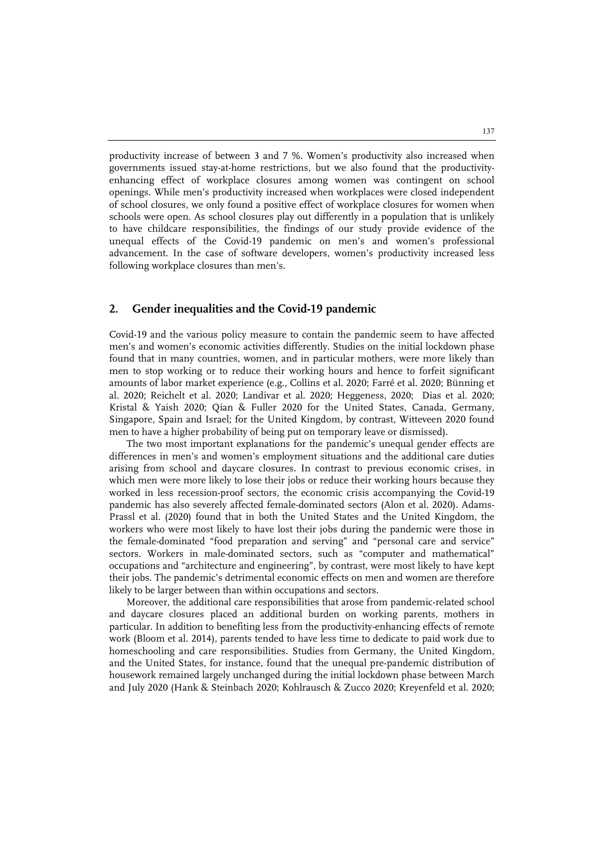productivity increase of between 3 and 7 %. Women's productivity also increased when governments issued stay-at-home restrictions, but we also found that the productivityenhancing effect of workplace closures among women was contingent on school openings. While men's productivity increased when workplaces were closed independent of school closures, we only found a positive effect of workplace closures for women when schools were open. As school closures play out differently in a population that is unlikely to have childcare responsibilities, the findings of our study provide evidence of the unequal effects of the Covid-19 pandemic on men's and women's professional advancement. In the case of software developers, women's productivity increased less following workplace closures than men's.

## **2. Gender inequalities and the Covid-19 pandemic**

Covid-19 and the various policy measure to contain the pandemic seem to have affected men's and women's economic activities differently. Studies on the initial lockdown phase found that in many countries, women, and in particular mothers, were more likely than men to stop working or to reduce their working hours and hence to forfeit significant amounts of labor market experience (e.g., Collins et al. 2020; Farré et al. 2020; Bünning et al. 2020; Reichelt et al. 2020; Landivar et al. 2020; Heggeness, 2020; Dias et al. 2020; Kristal & Yaish 2020; Qian & Fuller 2020 for the United States, Canada, Germany, Singapore, Spain and Israel; for the United Kingdom, by contrast, Witteveen 2020 found men to have a higher probability of being put on temporary leave or dismissed).

The two most important explanations for the pandemic's unequal gender effects are differences in men's and women's employment situations and the additional care duties arising from school and daycare closures. In contrast to previous economic crises, in which men were more likely to lose their jobs or reduce their working hours because they worked in less recession-proof sectors, the economic crisis accompanying the Covid-19 pandemic has also severely affected female-dominated sectors (Alon et al. 2020). Adams-Prassl et al. (2020) found that in both the United States and the United Kingdom, the workers who were most likely to have lost their jobs during the pandemic were those in the female-dominated "food preparation and serving" and "personal care and service" sectors. Workers in male-dominated sectors, such as "computer and mathematical" occupations and "architecture and engineering", by contrast, were most likely to have kept their jobs. The pandemic's detrimental economic effects on men and women are therefore likely to be larger between than within occupations and sectors.

Moreover, the additional care responsibilities that arose from pandemic-related school and daycare closures placed an additional burden on working parents, mothers in particular. In addition to benefiting less from the productivity-enhancing effects of remote work (Bloom et al. 2014), parents tended to have less time to dedicate to paid work due to homeschooling and care responsibilities. Studies from Germany, the United Kingdom, and the United States, for instance, found that the unequal pre-pandemic distribution of housework remained largely unchanged during the initial lockdown phase between March and July 2020 (Hank & Steinbach 2020; Kohlrausch & Zucco 2020; Kreyenfeld et al. 2020;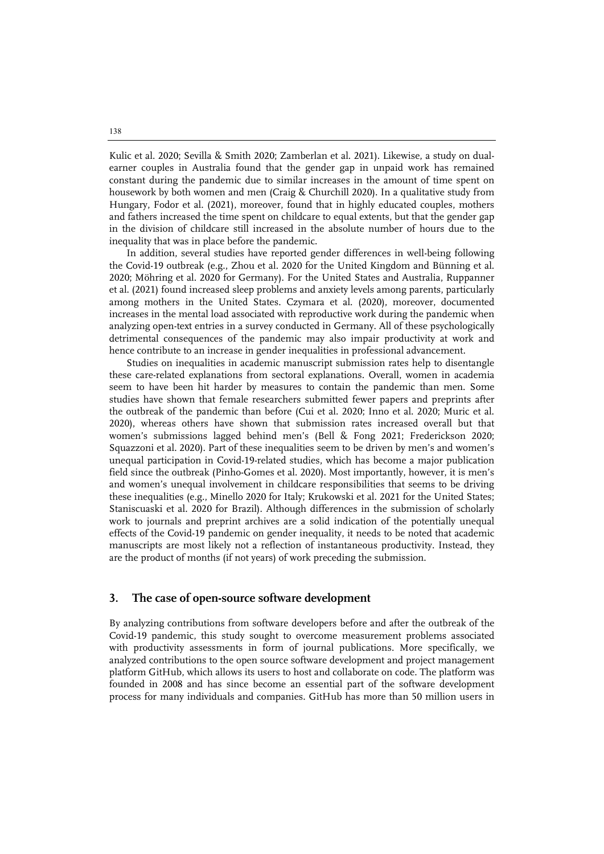Kulic et al. 2020; Sevilla & Smith 2020; Zamberlan et al. 2021). Likewise, a study on dualearner couples in Australia found that the gender gap in unpaid work has remained constant during the pandemic due to similar increases in the amount of time spent on housework by both women and men (Craig & Churchill 2020). In a qualitative study from Hungary, Fodor et al. (2021), moreover, found that in highly educated couples, mothers and fathers increased the time spent on childcare to equal extents, but that the gender gap in the division of childcare still increased in the absolute number of hours due to the inequality that was in place before the pandemic.

In addition, several studies have reported gender differences in well-being following the Covid-19 outbreak (e.g., Zhou et al. 2020 for the United Kingdom and Bünning et al. 2020; Möhring et al. 2020 for Germany). For the United States and Australia, Ruppanner et al. (2021) found increased sleep problems and anxiety levels among parents, particularly among mothers in the United States. Czymara et al. (2020), moreover, documented increases in the mental load associated with reproductive work during the pandemic when analyzing open-text entries in a survey conducted in Germany. All of these psychologically detrimental consequences of the pandemic may also impair productivity at work and hence contribute to an increase in gender inequalities in professional advancement.

Studies on inequalities in academic manuscript submission rates help to disentangle these care-related explanations from sectoral explanations. Overall, women in academia seem to have been hit harder by measures to contain the pandemic than men. Some studies have shown that female researchers submitted fewer papers and preprints after the outbreak of the pandemic than before (Cui et al. 2020; Inno et al. 2020; Muric et al. 2020), whereas others have shown that submission rates increased overall but that women's submissions lagged behind men's (Bell & Fong 2021; Frederickson 2020; Squazzoni et al. 2020). Part of these inequalities seem to be driven by men's and women's unequal participation in Covid-19-related studies, which has become a major publication field since the outbreak (Pinho-Gomes et al. 2020). Most importantly, however, it is men's and women's unequal involvement in childcare responsibilities that seems to be driving these inequalities (e.g., Minello 2020 for Italy; Krukowski et al. 2021 for the United States; Staniscuaski et al. 2020 for Brazil). Although differences in the submission of scholarly work to journals and preprint archives are a solid indication of the potentially unequal effects of the Covid-19 pandemic on gender inequality, it needs to be noted that academic manuscripts are most likely not a reflection of instantaneous productivity. Instead, they are the product of months (if not years) of work preceding the submission.

## **3. The case of open-source software development**

By analyzing contributions from software developers before and after the outbreak of the Covid-19 pandemic, this study sought to overcome measurement problems associated with productivity assessments in form of journal publications. More specifically, we analyzed contributions to the open source software development and project management platform GitHub, which allows its users to host and collaborate on code. The platform was founded in 2008 and has since become an essential part of the software development process for many individuals and companies. GitHub has more than 50 million users in

138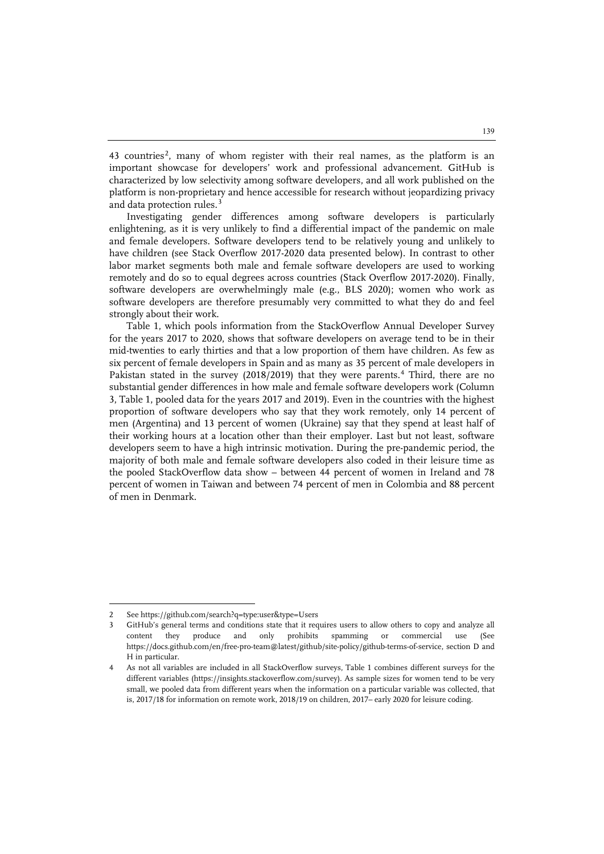43 countries<sup>[2](#page-5-0)</sup>, many of whom register with their real names, as the platform is an important showcase for developers' work and professional advancement. GitHub is characterized by low selectivity among software developers, and all work published on the platform is non-proprietary and hence accessible for research without jeopardizing privacy and data protection rules.<sup>[3](#page-5-1)</sup>

Investigating gender differences among software developers is particularly enlightening, as it is very unlikely to find a differential impact of the pandemic on male and female developers. Software developers tend to be relatively young and unlikely to have children (see Stack Overflow 2017-2020 data presented below). In contrast to other labor market segments both male and female software developers are used to working remotely and do so to equal degrees across countries (Stack Overflow 2017-2020). Finally, software developers are overwhelmingly male (e.g., BLS 2020); women who work as software developers are therefore presumably very committed to what they do and feel strongly about their work.

Table 1, which pools information from the StackOverflow Annual Developer Survey for the years 2017 to 2020, shows that software developers on average tend to be in their mid-twenties to early thirties and that a low proportion of them have children. As few as six percent of female developers in Spain and as many as 35 percent of male developers in Pakistan stated in the survey (2018/2019) that they were parents.<sup>[4](#page-5-2)</sup> Third, there are no substantial gender differences in how male and female software developers work (Column 3, Table 1, pooled data for the years 2017 and 2019). Even in the countries with the highest proportion of software developers who say that they work remotely, only 14 percent of men (Argentina) and 13 percent of women (Ukraine) say that they spend at least half of their working hours at a location other than their employer. Last but not least, software developers seem to have a high intrinsic motivation. During the pre-pandemic period, the majority of both male and female software developers also coded in their leisure time as the pooled StackOverflow data show – between 44 percent of women in Ireland and 78 percent of women in Taiwan and between 74 percent of men in Colombia and 88 percent of men in Denmark.

 $\ddot{ }$ 

<span id="page-5-0"></span><sup>2</sup> Se[e https://github.com/search?q=type:user&type=Users](https://github.com/search?q=type:user&type=Users)

<span id="page-5-1"></span><sup>3</sup> GitHub's general terms and conditions state that it requires users to allow others to copy and analyze all content they produce and only prohibits spamming or commercial use (See [https://docs.github.com/en/free-pro-team@latest/github/site-policy/github-terms-of-service,](https://docs.github.com/en/free-pro-team@latest/github/site-policy/github-terms-of-service) section D and H in particular.

<span id="page-5-2"></span><sup>4</sup> As not all variables are included in all StackOverflow surveys, Table 1 combines different surveys for the different variables (https://insights.stackoverflow.com/survey). As sample sizes for women tend to be very small, we pooled data from different years when the information on a particular variable was collected, that is, 2017/18 for information on remote work, 2018/19 on children, 2017– early 2020 for leisure coding.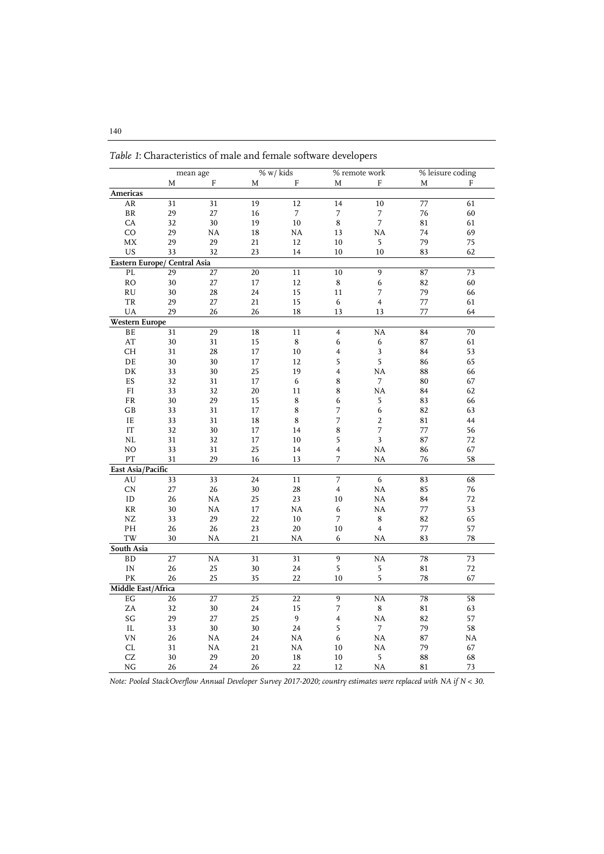|                              |                 | mean age               |                 | % w/ kids        |                         | % remote work            |        | % leisure coding |
|------------------------------|-----------------|------------------------|-----------------|------------------|-------------------------|--------------------------|--------|------------------|
|                              | M               | $\mathbf{F}$           | M               | ${\bf F}$        | M                       | F                        | M      | F                |
| Americas                     |                 |                        |                 |                  |                         |                          |        |                  |
| AR                           | 31              | 31                     | 19              | 12               | 14                      | 10                       | 77     | 61               |
| $\rm BR$                     | 29              | 27                     | 16              | 7                | 7                       | $\overline{\phantom{a}}$ | 76     | 60               |
| CA                           | 32              | 30                     | 19              | $10\,$           | $\bf 8$                 | $\overline{7}$           | 81     | 61               |
| CO                           | 29              | NA                     | 18              | NA               | 13                      | NA                       | 74     | 69               |
| MX                           | 29              | 29                     | 21              | 12               | 10                      | $\sqrt{5}$               | 79     | 75               |
| US                           | 33              | 32                     | 23              | 14               | 10                      | 10                       | 83     | 62               |
| Eastern Europe/ Central Asia |                 |                        |                 |                  |                         |                          |        |                  |
| PL.                          | 29              | $\overline{27}$        | $\overline{20}$ | 11               | $\overline{10}$         | 9                        | 87     | $\overline{73}$  |
| RO                           | 30              | 27                     | 17              | 12               | 8                       | 6                        | 82     | 60               |
| <b>RU</b>                    | 30              | 28                     | 24              | 15               | 11                      | $\overline{7}$           | 79     | 66               |
| ${\rm TR}$                   | 29              | 27                     | 21              | 15               | 6                       | $\overline{\mathbf{4}}$  | 77     | 61               |
| UA                           | 29              | 26                     | 26              | 18               | 13                      | 13                       | 77     | 64               |
| <b>Western Europe</b>        |                 |                        |                 |                  |                         |                          |        |                  |
| BE                           | $\overline{31}$ | 29                     | 18              | 11               | $\overline{\mathbf{4}}$ | <b>NA</b>                | 84     | 70               |
| AT                           | 30              | 31                     | 15              | $\bf 8$          | $\boldsymbol{6}$        | 6                        | 87     | 61               |
| <b>CH</b>                    | 31              | 28                     | 17              | 10               | 4                       | $\overline{\mathbf{3}}$  | 84     | 53               |
| DE                           | 30              | 30                     | 17              | 12               | 5                       | 5                        | 86     | 65               |
| DK                           | 33              | 30                     | 25              | 19               | 4                       | NA                       | 88     | 66               |
| ES                           | 32              | 31                     | 17              | 6                | 8                       | 7                        | 80     | 67               |
| FI                           | 33              | 32                     | 20              | 11               | 8                       | <b>NA</b>                | 84     | 62               |
| FR                           | 30              | 29                     | 15              | 8                | 6                       | 5                        | 83     | 66               |
| GB                           | 33              | 31                     | 17              | 8                | 7                       | $\mathbf 6$              | 82     | 63               |
| IE                           | 33              | 31                     | 18              | $\bf 8$          | 7                       | $\overline{c}$           | 81     | 44               |
| $\ensuremath{\mathsf{IT}}$   | 32              | 30                     | 17              | 14               | 8                       | 7                        | $77\,$ | 56               |
| $\rm NL$                     | 31              | 32                     | 17              | 10               | 5                       | 3                        | 87     | 72               |
| NO                           | 33              | 31                     | 25              | 14               | 4                       | NA                       | 86     | 67               |
| PT                           | 31              | 29                     | 16              | 13               | 7                       | <b>NA</b>                | 76     | 58               |
| East Asia/Pacific            |                 |                        |                 |                  |                         |                          |        |                  |
| AU                           | 33              | 33                     | $\overline{24}$ | 11               | $\overline{7}$          | $\overline{6}$           | 83     | 68               |
| CN                           | 27              | 26                     | 30              | 28               | $\overline{4}$          | NA                       | 85     | 76               |
| ID                           | 26              | NA                     | 25              | 23               | 10                      | <b>NA</b>                | 84     | 72               |
| KR                           | 30              | NA                     | 17              | NA               | 6                       | <b>NA</b>                | 77     | 53               |
| ${\rm NZ}$                   | 33              | 29                     | 22              | 10               | 7                       | 8                        | 82     | 65               |
| PH                           | 26              | 26                     | 23              | $20\,$           | $10\,$                  | $\overline{4}$           | 77     | 57               |
| TW                           | 30              | NA                     | 21              | <b>NA</b>        | 6                       | <b>NA</b>                | 83     | 78               |
| South Asia                   |                 |                        |                 |                  |                         |                          |        |                  |
| <b>BD</b>                    | $\overline{27}$ | $\overline{\text{NA}}$ | $\overline{31}$ | 31               | $\overline{9}$          | <b>NA</b>                | 78     | 73               |
| IN                           | 26              | 25                     | 30              | 24               | 5                       | $\mathsf S$              | 81     | 72               |
| PK                           | 26              | 25                     | 35              | 22               | 10                      | $\overline{5}$           | 78     | 67               |
| Middle East/Africa           |                 |                        |                 |                  |                         |                          |        |                  |
| $\operatorname{E} G$         | 26              | 27                     | 25              | 22               | $\overline{9}$          | <b>NA</b>                | 78     | 58               |
| ZA                           | 32              | 30                     | 24              | 15               | $\overline{7}$          | $\bf 8$                  | 81     | 63               |
| $\mathbf{S}\mathbf{G}$       | 29              | 27                     | 25              | $\boldsymbol{9}$ | $\overline{4}$          | NA                       | 82     | 57               |
| $\rm IL$                     | 33              | 30                     | 30              | 24               | 5                       | $\overline{7}$           | 79     | 58               |
| VN                           | 26              | NA                     | 24              | NA               | 6                       | NA                       | 87     | NA               |
| CL                           | 31              | <b>NA</b>              | 21              | NA               | 10                      | NA                       | 79     | 67               |
| CZ                           | 30              | 29                     | 20              | 18               | 10                      | 5                        | 88     | 68               |
| NG                           | 26              | 24                     | 26              | 22               | 12                      | NA                       | 81     | 73               |

*Table 1*: Characteristics of male and female software developers

*Note: Pooled StackOverflow Annual Developer Survey 2017-2020; country estimates were replaced with NA if N < 30.*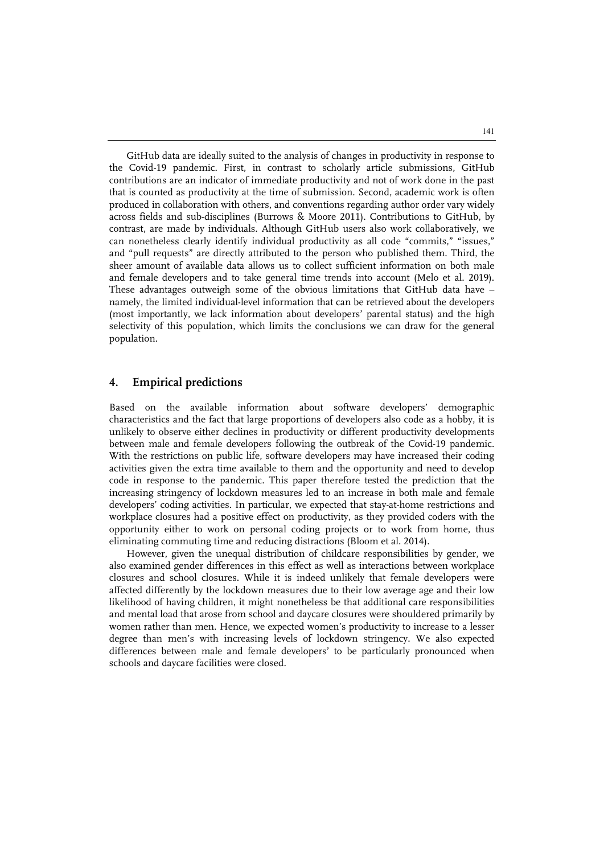GitHub data are ideally suited to the analysis of changes in productivity in response to the Covid-19 pandemic. First, in contrast to scholarly article submissions, GitHub contributions are an indicator of immediate productivity and not of work done in the past that is counted as productivity at the time of submission. Second, academic work is often produced in collaboration with others, and conventions regarding author order vary widely across fields and sub-disciplines (Burrows & Moore 2011). Contributions to GitHub, by contrast, are made by individuals. Although GitHub users also work collaboratively, we can nonetheless clearly identify individual productivity as all code "commits," "issues," and "pull requests" are directly attributed to the person who published them. Third, the sheer amount of available data allows us to collect sufficient information on both male and female developers and to take general time trends into account (Melo et al. 2019). These advantages outweigh some of the obvious limitations that GitHub data have – namely, the limited individual-level information that can be retrieved about the developers (most importantly, we lack information about developers' parental status) and the high selectivity of this population, which limits the conclusions we can draw for the general population.

# **4. Empirical predictions**

Based on the available information about software developers' demographic characteristics and the fact that large proportions of developers also code as a hobby, it is unlikely to observe either declines in productivity or different productivity developments between male and female developers following the outbreak of the Covid-19 pandemic. With the restrictions on public life, software developers may have increased their coding activities given the extra time available to them and the opportunity and need to develop code in response to the pandemic. This paper therefore tested the prediction that the increasing stringency of lockdown measures led to an increase in both male and female developers' coding activities. In particular, we expected that stay-at-home restrictions and workplace closures had a positive effect on productivity, as they provided coders with the opportunity either to work on personal coding projects or to work from home, thus eliminating commuting time and reducing distractions (Bloom et al. 2014).

However, given the unequal distribution of childcare responsibilities by gender, we also examined gender differences in this effect as well as interactions between workplace closures and school closures. While it is indeed unlikely that female developers were affected differently by the lockdown measures due to their low average age and their low likelihood of having children, it might nonetheless be that additional care responsibilities and mental load that arose from school and daycare closures were shouldered primarily by women rather than men. Hence, we expected women's productivity to increase to a lesser degree than men's with increasing levels of lockdown stringency. We also expected differences between male and female developers' to be particularly pronounced when schools and daycare facilities were closed.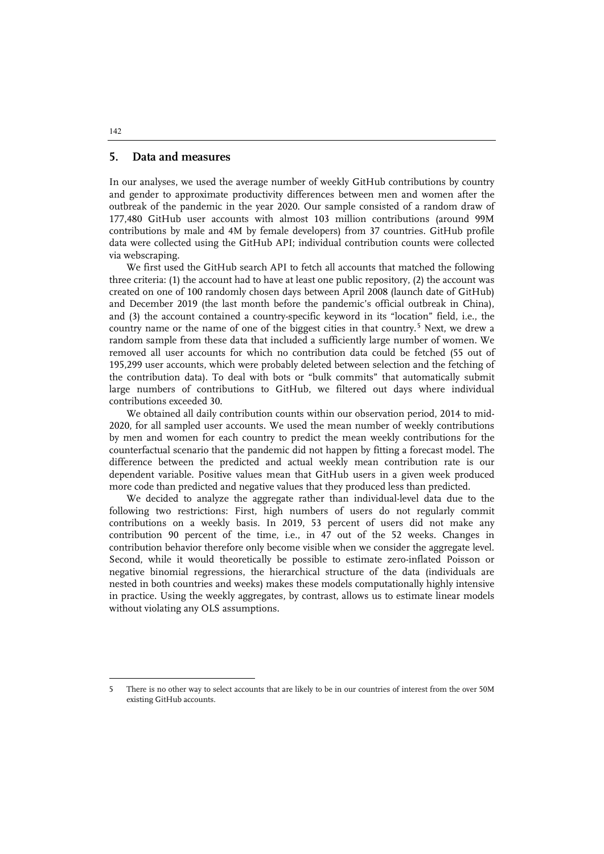# **5. Data and measures**

In our analyses, we used the average number of weekly GitHub contributions by country and gender to approximate productivity differences between men and women after the outbreak of the pandemic in the year 2020. Our sample consisted of a random draw of 177,480 GitHub user accounts with almost 103 million contributions (around 99M contributions by male and 4M by female developers) from 37 countries. GitHub profile data were collected using the GitHub API; individual contribution counts were collected via webscraping.

We first used the GitHub search API to fetch all accounts that matched the following three criteria: (1) the account had to have at least one public repository, (2) the account was created on one of 100 randomly chosen days between April 2008 (launch date of GitHub) and December 2019 (the last month before the pandemic's official outbreak in China), and (3) the account contained a country-specific keyword in its "location" field, i.e., the country name or the name of one of the biggest cities in that country.<sup>[5](#page-8-0)</sup> Next, we drew a random sample from these data that included a sufficiently large number of women. We removed all user accounts for which no contribution data could be fetched (55 out of 195,299 user accounts, which were probably deleted between selection and the fetching of the contribution data). To deal with bots or "bulk commits" that automatically submit large numbers of contributions to GitHub, we filtered out days where individual contributions exceeded 30.

We obtained all daily contribution counts within our observation period, 2014 to mid-2020, for all sampled user accounts. We used the mean number of weekly contributions by men and women for each country to predict the mean weekly contributions for the counterfactual scenario that the pandemic did not happen by fitting a forecast model. The difference between the predicted and actual weekly mean contribution rate is our dependent variable. Positive values mean that GitHub users in a given week produced more code than predicted and negative values that they produced less than predicted.

We decided to analyze the aggregate rather than individual-level data due to the following two restrictions: First, high numbers of users do not regularly commit contributions on a weekly basis. In 2019, 53 percent of users did not make any contribution 90 percent of the time, i.e., in 47 out of the 52 weeks. Changes in contribution behavior therefore only become visible when we consider the aggregate level. Second, while it would theoretically be possible to estimate zero-inflated Poisson or negative binomial regressions, the hierarchical structure of the data (individuals are nested in both countries and weeks) makes these models computationally highly intensive in practice. Using the weekly aggregates, by contrast, allows us to estimate linear models without violating any OLS assumptions.

#### 142

j

<span id="page-8-0"></span><sup>5</sup> There is no other way to select accounts that are likely to be in our countries of interest from the over 50M existing GitHub accounts.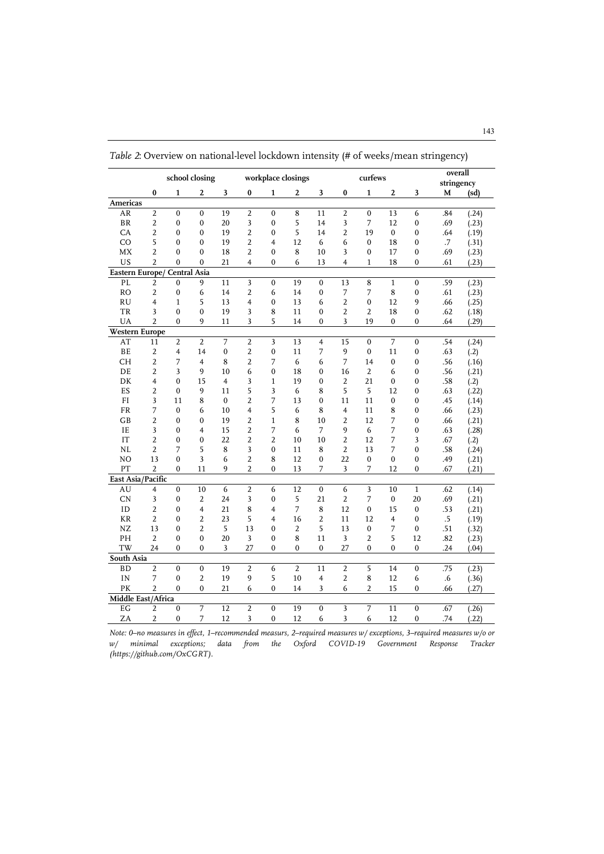|                       |                          | school closing          |                  |                |                          |                  | workplace closings      |                  |                         | curfews          |                  |                  | overall<br>stringency |       |
|-----------------------|--------------------------|-------------------------|------------------|----------------|--------------------------|------------------|-------------------------|------------------|-------------------------|------------------|------------------|------------------|-----------------------|-------|
|                       | $\bf{0}$                 | $\mathbf{1}$            | 2                | 3              | $\pmb{0}$                | $\mathbf{1}$     | $\boldsymbol{2}$        | $\mathbf{3}$     | $\bf{0}$                | $\mathbf{1}$     | $\boldsymbol{2}$ | 3                | M                     | (sd)  |
| Americas              |                          |                         |                  |                |                          |                  |                         |                  |                         |                  |                  |                  |                       |       |
| AR                    | $\overline{2}$           | $\mathbf{0}$            | $\mathbf 0$      | 19             | $\overline{2}$           | $\mathbf 0$      | $\overline{\mathbf{8}}$ | 11               | $\overline{2}$          | $\mathbf 0$      | 13               | 6                | .84                   | (.24) |
| $\operatorname{BR}$   | $\overline{2}$           | $\mathbf{0}$            | $\mathbf{0}$     | 20             | 3                        | $\mathbf{0}$     | 5                       | 14               | 3                       | 7                | 12               | $\mathbf{0}$     | .69                   | (.23) |
| CA                    | $\overline{2}$           | $\mathbf 0$             | 0                | 19             | $\overline{2}$           | $\bf{0}$         | 5                       | 14               | $\overline{2}$          | 19               | $\mathbf{0}$     | $\boldsymbol{0}$ | .64                   | (.19) |
| CO                    | 5                        | $\mathbf{0}$            | $\mathbf 0$      | 19             | $\overline{2}$           | $\overline{4}$   | 12                      | 6                | 6                       | $\boldsymbol{0}$ | 18               | $\boldsymbol{0}$ | .7                    | (.31) |
| <b>MX</b>             | $\overline{\mathcal{L}}$ | $\mathbf{0}$            | $\mathbf{0}$     | 18             | $\overline{\mathcal{L}}$ | $\mathbf{0}$     | 8                       | 10               | 3                       | $\mathbf{0}$     | 17               | $\mathbf{0}$     | .69                   | (.23) |
| US                    | $\overline{2}$           | $\mathbf{0}$            | $\mathbf 0$      | 21             | $\overline{4}$           | $\bf{0}$         | 6                       | 13               | $\overline{4}$          | $\mathbf{1}$     | 18               | 0                | .61                   | (.23) |
| Eastern Europe/       |                          | <b>Central Asia</b>     |                  |                |                          |                  |                         |                  |                         |                  |                  |                  |                       |       |
| PL                    | $\overline{2}$           | $\mathbf{0}$            | 9                | 11             | $\overline{\mathbf{3}}$  | $\boldsymbol{0}$ | 19                      | $\mathbf{0}$     | 13                      | $\bf 8$          | $\mathbf{1}$     | $\boldsymbol{0}$ | .59                   | (.23) |
| <b>RO</b>             | $\overline{2}$           | $\boldsymbol{0}$        | 6                | 14             | $\overline{2}$           | 6                | 14                      | $\boldsymbol{0}$ | 7                       | 7                | $\bf 8$          | $\boldsymbol{0}$ | .61                   | (.23) |
| <b>RU</b>             | $\overline{4}$           | $\mathbf{1}$            | 5                | 13             | $\overline{\mathbf{4}}$  | $\mathbf 0$      | 13                      | 6                | $\overline{2}$          | $\mathbf 0$      | 12               | 9                | .66                   | (.25) |
| TR                    | $\overline{3}$           | $\mathbf{0}$            | $\mathbf{0}$     | 19             | 3                        | 8                | 11                      | $\mathbf{0}$     | $\overline{2}$          | $\overline{2}$   | 18               | $\mathbf 0$      | .62                   | (.18) |
| UA                    | $\overline{2}$           | $\mathbf{0}$            | 9                | 11             | 3                        | 5                | 14                      | $\mathbf{0}$     | 3                       | 19               | $\mathbf 0$      | $\mathbf 0$      | .64                   | (.29) |
| <b>Western Europe</b> |                          |                         |                  |                |                          |                  |                         |                  |                         |                  |                  |                  |                       |       |
| AT                    | 11                       | $\overline{2}$          | $\overline{2}$   | $\overline{7}$ | $\overline{2}$           | $\overline{3}$   | 13                      | $\overline{4}$   | 15                      | $\boldsymbol{0}$ | $\overline{7}$   | $\boldsymbol{0}$ | .54                   | (.24) |
| $\rm BE$              | $\overline{2}$           | $\overline{\mathbf{4}}$ | 14               | $\mathbf 0$    | $\overline{2}$           | $\boldsymbol{0}$ | 11                      | 7                | $\overline{9}$          | $\mathbf 0$      | 11               | $\boldsymbol{0}$ | .63                   | (.2)  |
| CH                    | $\overline{2}$           | 7                       | 4                | 8              | $\overline{2}$           | 7                | 6                       | 6                | 7                       | 14               | $\boldsymbol{0}$ | $\boldsymbol{0}$ | .56                   | (.16) |
| DE                    | $\overline{2}$           | 3                       | 9                | 10             | 6                        | $\mathbf{0}$     | 18                      | $\mathbf 0$      | 16                      | $\overline{2}$   | 6                | 0                | .56                   | (.21) |
| DK                    | $\overline{\mathbf{4}}$  | $\mathbf 0$             | 15               | $\overline{4}$ | 3                        | $\mathbf{1}$     | 19                      | $\mathbf 0$      | $\overline{2}$          | 21               | $\mathbf 0$      | $\boldsymbol{0}$ | .58                   | (.2)  |
| ES                    | $\overline{2}$           | $\boldsymbol{0}$        | 9                | 11             | 5                        | 3                | 6                       | 8                | 5                       | 5                | 12               | 0                | .63                   | (.22) |
| ${\rm FI}$            | 3                        | 11                      | 8                | $\mathbf{0}$   | $\overline{2}$           | 7                | 13                      | $\mathbf{0}$     | 11                      | 11               | $\mathbf{0}$     | $\boldsymbol{0}$ | .45                   | (.14) |
| FR                    | 7                        | $\boldsymbol{0}$        | 6                | 10             | $\overline{4}$           | 5                | 6                       | 8                | $\overline{4}$          | 11               | 8                | $\mathbf 0$      | .66                   | (.23) |
| $G$ B                 | $\overline{2}$           | $\mathbf{0}$            | $\mathbf{0}$     | 19             | $\overline{2}$           | $\mathbf{1}$     | 8                       | 10               | 2                       | 12               | 7                | 0                | .66                   | (.21) |
| IE                    | 3                        | 0                       | $\overline{4}$   | 15             | $\overline{2}$           | 7                | 6                       | 7                | 9                       | 6                | 7                | $\boldsymbol{0}$ | .63                   | (.28) |
| IT                    | $\overline{2}$           | $\boldsymbol{0}$        | $\mathbf 0$      | 22             | $\overline{2}$           | $\overline{2}$   | 10                      | 10               | $\overline{c}$          | 12               | 7                | 3                | .67                   | (.2)  |
| NL                    | $\overline{2}$           | 7                       | 5                | $\bf 8$        | 3                        | $\bf{0}$         | 11                      | 8                | $\overline{2}$          | 13               | 7                | $\boldsymbol{0}$ | .58                   | (.24) |
| NO                    | 13                       | $\mathbf{0}$            | 3                | 6              | $\overline{2}$           | 8                | 12                      | $\mathbf 0$      | 22                      | $\mathbf 0$      | $\mathbf{0}$     | $\mathbf 0$      | .49                   | (.21) |
| PT                    | $\overline{2}$           | $\Omega$                | 11               | 9              | $\overline{2}$           | $\mathbf{0}$     | 13                      | 7                | 3                       | 7                | 12               | $\mathbf{0}$     | .67                   | (.21) |
| East Asia/Pacific     |                          |                         |                  |                |                          |                  |                         |                  |                         |                  |                  |                  |                       |       |
| AU                    | $\overline{4}$           | $\mathbf{0}$            | 10               | 6              | $\overline{2}$           | 6                | 12                      | $\mathbf{0}$     | $\boldsymbol{6}$        | 3                | 10               | $\mathbf 1$      | .62                   | (.14) |
| <b>CN</b>             | 3                        | $\mathbf 0$             | $\overline{2}$   | 24             | 3                        | $\mathbf{0}$     | 5                       | 21               | $\overline{2}$          | 7                | $\mathbf 0$      | 20               | .69                   | (.21) |
| ID                    | $\overline{2}$           | $\boldsymbol{0}$        | 4                | 21             | 8                        | 4                | $\overline{7}$          | 8                | 12                      | $\mathbf 0$      | 15               | 0                | .53                   | (.21) |
| KR                    | $\overline{2}$           | $\mathbf{0}$            | 2                | 23             | 5                        | 4                | 16                      | $\overline{2}$   | 11                      | 12               | $\overline{4}$   | $\boldsymbol{0}$ | $.5\,$                | (.19) |
| NZ                    | 13                       | $\mathbf 0$             | $\overline{2}$   | 5              | 13                       | $\mathbf{0}$     | $\overline{2}$          | 5                | 13                      | $\mathbf 0$      | 7                | $\mathbf 0$      | .51                   | (.32) |
| PH                    | $\overline{2}$           | $\boldsymbol{0}$        | $\boldsymbol{0}$ | 20             | 3                        | $\bf{0}$         | 8                       | 11               | 3                       | $\overline{2}$   | 5                | 12               | .82                   | (.23) |
| <b>TW</b>             | 24                       | $\mathbf{0}$            | $\mathbf{0}$     | 3              | 27                       | $\mathbf{0}$     | $\mathbf{0}$            | $\mathbf 0$      | 27                      | $\mathbf{0}$     | $\mathbf{0}$     | 0                | .24                   | (.04) |
| South Asia            |                          |                         |                  |                |                          |                  |                         |                  |                         |                  |                  |                  |                       |       |
| <b>BD</b>             | $\overline{2}$           | $\mathbf 0$             | $\boldsymbol{0}$ | 19             | $\overline{2}$           | 6                | $\overline{2}$          | 11               | $\overline{2}$          | 5                | 14               | $\overline{0}$   | .75                   | (.23) |
| IN                    | $\overline{7}$           | $\mathbf{0}$            | $\overline{2}$   | 19             | 9                        | 5                | 10                      | $\overline{4}$   | $\overline{2}$          | 8                | 12               | 6                | .6                    | (.36) |
| PK                    | $\overline{2}$           | $\theta$                | $\mathbf{0}$     | 21             | 6                        | $\mathbf{0}$     | 14                      | 3                | 6                       | $\overline{2}$   | 15               | $\mathbf{0}$     | .66                   | (.27) |
| Middle East/Africa    |                          |                         |                  |                |                          |                  |                         |                  |                         |                  |                  |                  |                       |       |
| EG                    | $\overline{2}$           | $\mathbf{0}$            | 7                | 12             | $\overline{c}$           | $\mathbf 0$      | 19                      | $\mathbf{0}$     | $\overline{\mathbf{3}}$ | 7                | 11               | $\mathbf 0$      | .67                   | (.26) |
| ZA                    | $\overline{2}$           | $\boldsymbol{0}$        | 7                | 12             | 3                        | $\boldsymbol{0}$ | 12                      | 6                | 3                       | 6                | 12               | $\boldsymbol{0}$ | .74                   | (.22) |

*Table 2*: Overview on national-level lockdown intensity (# of weeks/mean stringency)

*Note: 0–no measures in effect, 1–recommended measurs, 2–required measures w/ exceptions, 3–required measures w/o or w/ minimal exceptions; data from the Oxford COVID-19 Government Response Tracker [\(https://github.com/OxCGRT\)](https://github.com/OxCGRT).*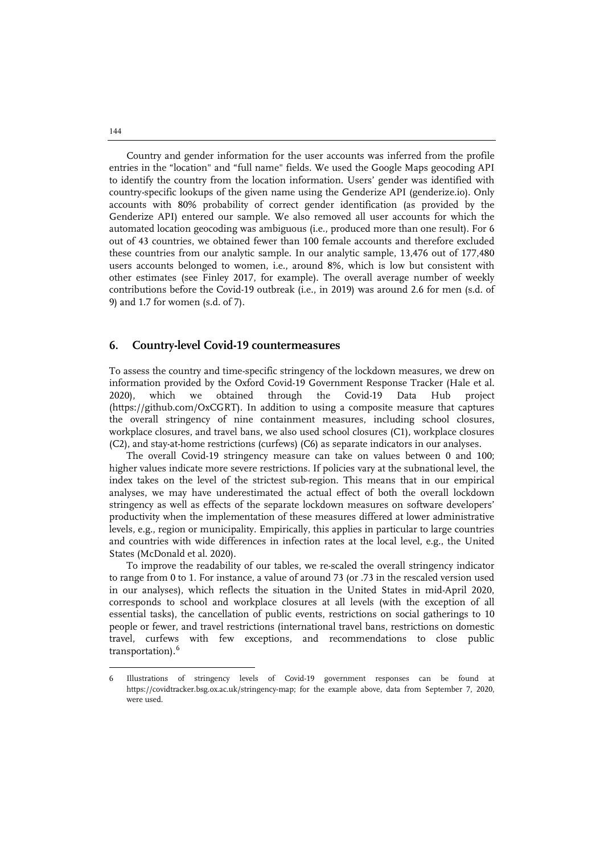Country and gender information for the user accounts was inferred from the profile entries in the "location" and "full name" fields. We used the Google Maps geocoding API to identify the country from the location information. Users' gender was identified with country-specific lookups of the given name using the Genderize API (genderize.io). Only accounts with 80% probability of correct gender identification (as provided by the Genderize API) entered our sample. We also removed all user accounts for which the automated location geocoding was ambiguous (i.e., produced more than one result). For 6 out of 43 countries, we obtained fewer than 100 female accounts and therefore excluded these countries from our analytic sample. In our analytic sample, 13,476 out of 177,480 users accounts belonged to women, i.e., around 8%, which is low but consistent with other estimates (see Finley 2017, for example). The overall average number of weekly contributions before the Covid-19 outbreak (i.e., in 2019) was around 2.6 for men (s.d. of 9) and 1.7 for women (s.d. of 7).

#### **6. Country-level Covid-19 countermeasures**

To assess the country and time-specific stringency of the lockdown measures, we drew on information provided by the Oxford Covid-19 Government Response Tracker (Hale et al. 2020), which we obtained through the Covid-19 Data Hub project (https://github.com/OxCGRT). In addition to using a composite measure that captures the overall stringency of nine containment measures, including school closures, workplace closures, and travel bans, we also used school closures (C1), workplace closures (C2), and stay-at-home restrictions (curfews) (C6) as separate indicators in our analyses.

The overall Covid-19 stringency measure can take on values between 0 and 100; higher values indicate more severe restrictions. If policies vary at the subnational level, the index takes on the level of the strictest sub-region. This means that in our empirical analyses, we may have underestimated the actual effect of both the overall lockdown stringency as well as effects of the separate lockdown measures on software developers' productivity when the implementation of these measures differed at lower administrative levels, e.g., region or municipality. Empirically, this applies in particular to large countries and countries with wide differences in infection rates at the local level, e.g., the United States (McDonald et al. 2020).

To improve the readability of our tables, we re-scaled the overall stringency indicator to range from 0 to 1. For instance, a value of around 73 (or .73 in the rescaled version used in our analyses), which reflects the situation in the United States in mid-April 2020, corresponds to school and workplace closures at all levels (with the exception of all essential tasks), the cancellation of public events, restrictions on social gatherings to 10 people or fewer, and travel restrictions (international travel bans, restrictions on domestic travel, curfews with few exceptions, and recommendations to close public transportation).<sup>[6](#page-10-0)</sup>

144

 $\ddot{ }$ 

<span id="page-10-0"></span><sup>6</sup> Illustrations of stringency levels of Covid-19 government responses can be found at https://covidtracker.bsg.ox.ac.uk/stringency-map; for the example above, data from September 7, 2020, were used.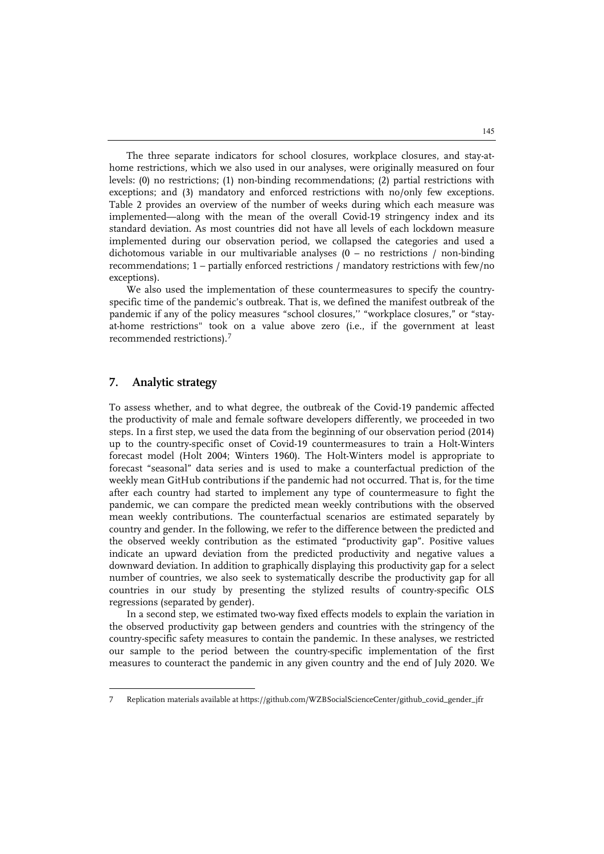The three separate indicators for school closures, workplace closures, and stay-athome restrictions, which we also used in our analyses, were originally measured on four levels: (0) no restrictions; (1) non-binding recommendations; (2) partial restrictions with exceptions; and (3) mandatory and enforced restrictions with no/only few exceptions. Table 2 provides an overview of the number of weeks during which each measure was implemented—along with the mean of the overall Covid-19 stringency index and its standard deviation. As most countries did not have all levels of each lockdown measure implemented during our observation period, we collapsed the categories and used a dichotomous variable in our multivariable analyses  $(0 - no$  restrictions / non-binding recommendations; 1 – partially enforced restrictions / mandatory restrictions with few/no exceptions).

We also used the implementation of these countermeasures to specify the countryspecific time of the pandemic's outbreak. That is, we defined the manifest outbreak of the pandemic if any of the policy measures "school closures," "workplace closures," or "stayat-home restrictions" took on a value above zero (i.e., if the government at least recommended restrictions).[7](#page-11-0)

# **7. Analytic strategy**

 $\ddot{ }$ 

To assess whether, and to what degree, the outbreak of the Covid-19 pandemic affected the productivity of male and female software developers differently, we proceeded in two steps. In a first step, we used the data from the beginning of our observation period (2014) up to the country-specific onset of Covid-19 countermeasures to train a Holt-Winters forecast model (Holt 2004; Winters 1960). The Holt-Winters model is appropriate to forecast "seasonal" data series and is used to make a counterfactual prediction of the weekly mean GitHub contributions if the pandemic had not occurred. That is, for the time after each country had started to implement any type of countermeasure to fight the pandemic, we can compare the predicted mean weekly contributions with the observed mean weekly contributions. The counterfactual scenarios are estimated separately by country and gender. In the following, we refer to the difference between the predicted and the observed weekly contribution as the estimated "productivity gap". Positive values indicate an upward deviation from the predicted productivity and negative values a downward deviation. In addition to graphically displaying this productivity gap for a select number of countries, we also seek to systematically describe the productivity gap for all countries in our study by presenting the stylized results of country-specific OLS regressions (separated by gender).

In a second step, we estimated two-way fixed effects models to explain the variation in the observed productivity gap between genders and countries with the stringency of the country-specific safety measures to contain the pandemic. In these analyses, we restricted our sample to the period between the country-specific implementation of the first measures to counteract the pandemic in any given country and the end of July 2020. We

<span id="page-11-0"></span><sup>7</sup> Replication materials available a[t https://github.com/WZBSocialScienceCenter/github\\_covid\\_gender\\_jfr](https://github.com/WZBSocialScienceCenter/github_covid_gender_jfr)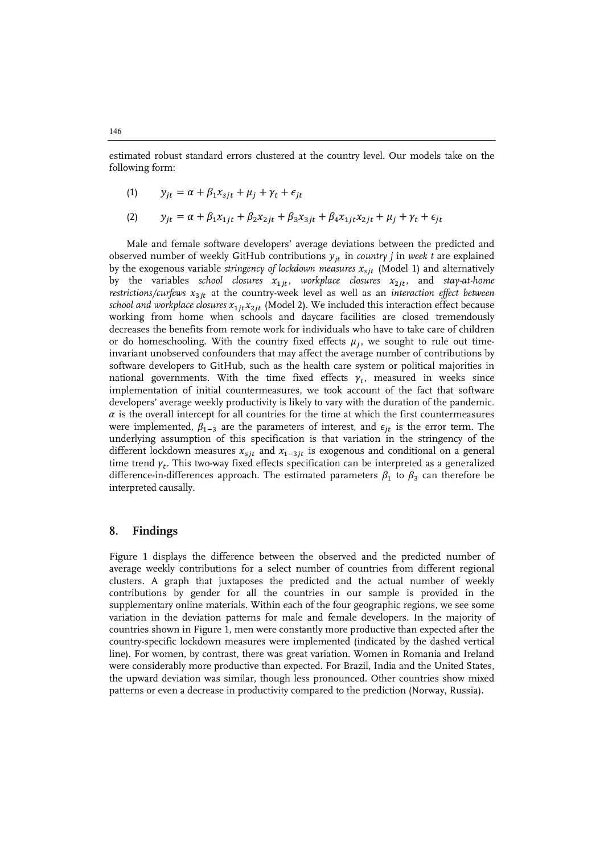estimated robust standard errors clustered at the country level. Our models take on the following form:

$$
(1) \t y_{jt} = \alpha + \beta_1 x_{sjt} + \mu_j + \gamma_t + \epsilon_{jt}
$$

(2) 
$$
y_{jt} = \alpha + \beta_1 x_{1jt} + \beta_2 x_{2jt} + \beta_3 x_{3jt} + \beta_4 x_{1jt} x_{2jt} + \mu_j + \gamma_t + \epsilon_{jt}
$$

Male and female software developers' average deviations between the predicted and observed number of weekly GitHub contributions  $y_{jt}$  in *country j* in *week t* are explained by the exogenous variable *stringency of lockdown measures*  $x_{sjt}$  (Model 1) and alternatively by the variables *school closures*  $x_{1jt}$ , workplace closures  $x_{2jt}$ , and *stay-at-home* restrictions/curfews  $x_{3jt}$  at the country-week level as well as an *interaction effect between school and workplace closures*  $x_{1jt}x_{2jt}$  (Model 2). We included this interaction effect because working from home when schools and daycare facilities are closed tremendously decreases the benefits from remote work for individuals who have to take care of children or do homeschooling. With the country fixed effects  $\mu_i$ , we sought to rule out timeinvariant unobserved confounders that may affect the average number of contributions by software developers to GitHub, such as the health care system or political majorities in national governments. With the time fixed effects  $\gamma_t$ , measured in weeks since implementation of initial countermeasures, we took account of the fact that software developers' average weekly productivity is likely to vary with the duration of the pandemic.  $\alpha$  is the overall intercept for all countries for the time at which the first countermeasures were implemented,  $\beta_{1-3}$  are the parameters of interest, and  $\epsilon_{it}$  is the error term. The underlying assumption of this specification is that variation in the stringency of the different lockdown measures  $x_{sjt}$  and  $x_{1-3jt}$  is exogenous and conditional on a general time trend  $\gamma_t$ . This two-way fixed effects specification can be interpreted as a generalized difference-in-differences approach. The estimated parameters  $\beta_1$  to  $\beta_3$  can therefore be interpreted causally.

#### **8. Findings**

Figure 1 displays the difference between the observed and the predicted number of average weekly contributions for a select number of countries from different regional clusters. A graph that juxtaposes the predicted and the actual number of weekly contributions by gender for all the countries in our sample is provided in the supplementary online materials. Within each of the four geographic regions, we see some variation in the deviation patterns for male and female developers. In the majority of countries shown in Figure 1, men were constantly more productive than expected after the country-specific lockdown measures were implemented (indicated by the dashed vertical line). For women, by contrast, there was great variation. Women in Romania and Ireland were considerably more productive than expected. For Brazil, India and the United States, the upward deviation was similar, though less pronounced. Other countries show mixed patterns or even a decrease in productivity compared to the prediction (Norway, Russia).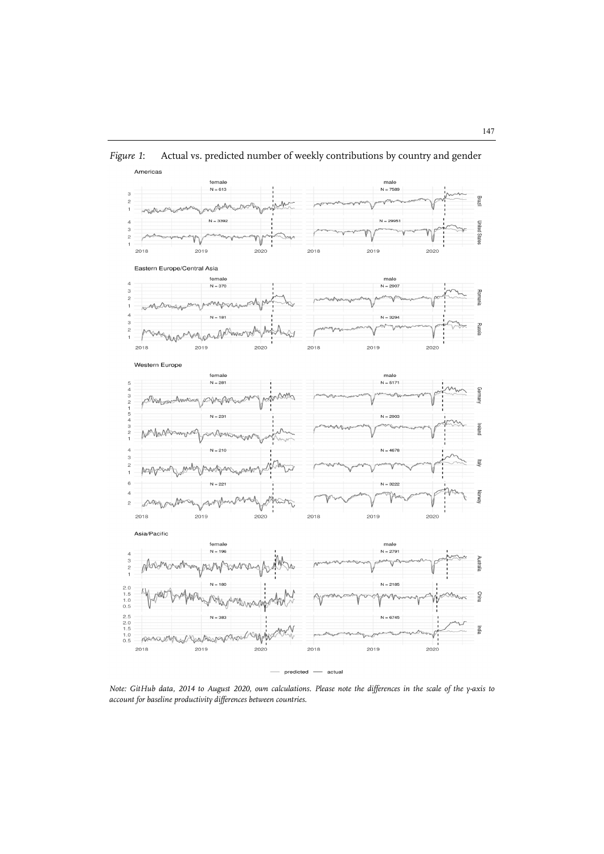

*Figure 1*: Actual vs. predicted number of weekly contributions by country and gender

*Note: GitHub data, 2014 to August 2020, own calculations. Please note the differences in the scale of the y-axis to account for baseline productivity differences between countries.*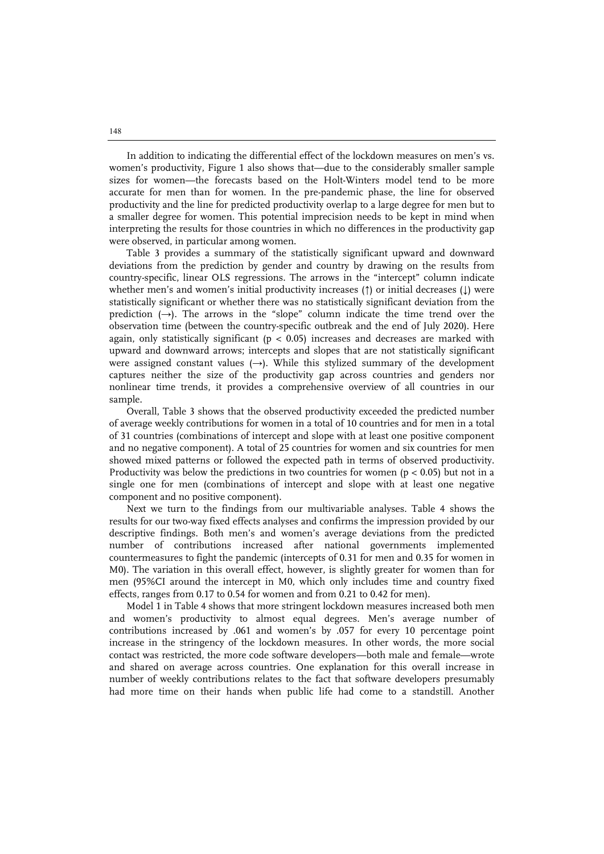In addition to indicating the differential effect of the lockdown measures on men's vs. women's productivity, Figure 1 also shows that—due to the considerably smaller sample sizes for women—the forecasts based on the Holt-Winters model tend to be more accurate for men than for women. In the pre-pandemic phase, the line for observed productivity and the line for predicted productivity overlap to a large degree for men but to a smaller degree for women. This potential imprecision needs to be kept in mind when interpreting the results for those countries in which no differences in the productivity gap were observed, in particular among women.

Table 3 provides a summary of the statistically significant upward and downward deviations from the prediction by gender and country by drawing on the results from country-specific, linear OLS regressions. The arrows in the "intercept" column indicate whether men's and women's initial productivity increases (↑) or initial decreases (↓) were statistically significant or whether there was no statistically significant deviation from the prediction  $(\rightarrow)$ . The arrows in the "slope" column indicate the time trend over the observation time (between the country-specific outbreak and the end of July 2020). Here again, only statistically significant ( $p < 0.05$ ) increases and decreases are marked with upward and downward arrows; intercepts and slopes that are not statistically significant were assigned constant values  $(\rightarrow)$ . While this stylized summary of the development captures neither the size of the productivity gap across countries and genders nor nonlinear time trends, it provides a comprehensive overview of all countries in our sample.

Overall, Table 3 shows that the observed productivity exceeded the predicted number of average weekly contributions for women in a total of 10 countries and for men in a total of 31 countries (combinations of intercept and slope with at least one positive component and no negative component). A total of 25 countries for women and six countries for men showed mixed patterns or followed the expected path in terms of observed productivity. Productivity was below the predictions in two countries for women ( $p < 0.05$ ) but not in a single one for men (combinations of intercept and slope with at least one negative component and no positive component).

Next we turn to the findings from our multivariable analyses. Table 4 shows the results for our two-way fixed effects analyses and confirms the impression provided by our descriptive findings. Both men's and women's average deviations from the predicted number of contributions increased after national governments implemented countermeasures to fight the pandemic (intercepts of 0.31 for men and 0.35 for women in M0). The variation in this overall effect, however, is slightly greater for women than for men (95%CI around the intercept in M0, which only includes time and country fixed effects, ranges from 0.17 to 0.54 for women and from 0.21 to 0.42 for men).

Model 1 in Table 4 shows that more stringent lockdown measures increased both men and women's productivity to almost equal degrees. Men's average number of contributions increased by .061 and women's by .057 for every 10 percentage point increase in the stringency of the lockdown measures. In other words, the more social contact was restricted, the more code software developers—both male and female—wrote and shared on average across countries. One explanation for this overall increase in number of weekly contributions relates to the fact that software developers presumably had more time on their hands when public life had come to a standstill. Another

148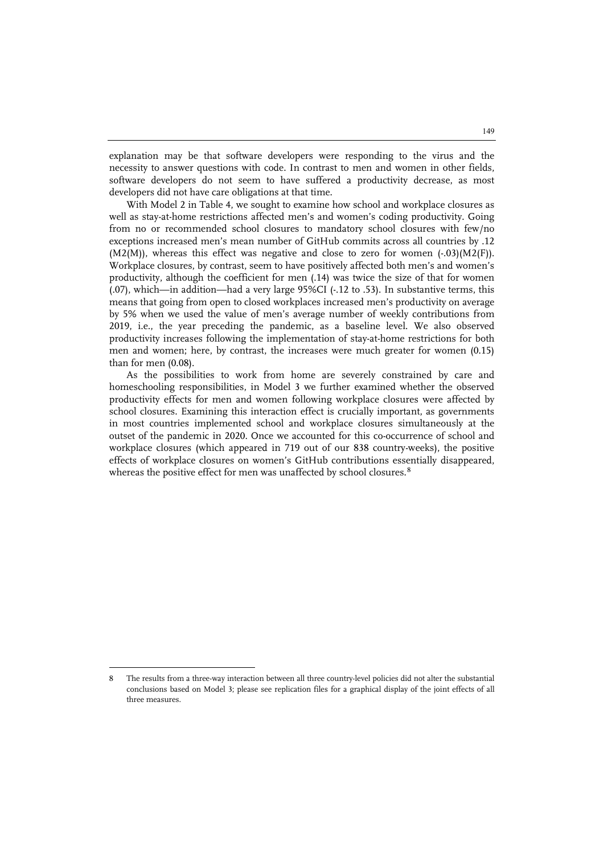explanation may be that software developers were responding to the virus and the necessity to answer questions with code. In contrast to men and women in other fields, software developers do not seem to have suffered a productivity decrease, as most developers did not have care obligations at that time.

With Model 2 in Table 4, we sought to examine how school and workplace closures as well as stay-at-home restrictions affected men's and women's coding productivity. Going from no or recommended school closures to mandatory school closures with few/no exceptions increased men's mean number of GitHub commits across all countries by .12  $(M2(M))$ , whereas this effect was negative and close to zero for women  $(-0.03)(M2(F))$ . Workplace closures, by contrast, seem to have positively affected both men's and women's productivity, although the coefficient for men (.14) was twice the size of that for women (.07), which—in addition—had a very large 95%CI (-.12 to .53). In substantive terms, this means that going from open to closed workplaces increased men's productivity on average by 5% when we used the value of men's average number of weekly contributions from 2019, i.e., the year preceding the pandemic, as a baseline level. We also observed productivity increases following the implementation of stay-at-home restrictions for both men and women; here, by contrast, the increases were much greater for women (0.15) than for men (0.08).

As the possibilities to work from home are severely constrained by care and homeschooling responsibilities, in Model 3 we further examined whether the observed productivity effects for men and women following workplace closures were affected by school closures. Examining this interaction effect is crucially important, as governments in most countries implemented school and workplace closures simultaneously at the outset of the pandemic in 2020. Once we accounted for this co-occurrence of school and workplace closures (which appeared in 719 out of our 838 country-weeks), the positive effects of workplace closures on women's GitHub contributions essentially disappeared, whereas the positive effect for men was unaffected by school closures.<sup>[8](#page-15-0)</sup>

 $\ddot{ }$ 

<span id="page-15-0"></span><sup>8</sup> The results from a three-way interaction between all three country-level policies did not alter the substantial conclusions based on Model 3; please see replication files for a graphical display of the joint effects of all three measures.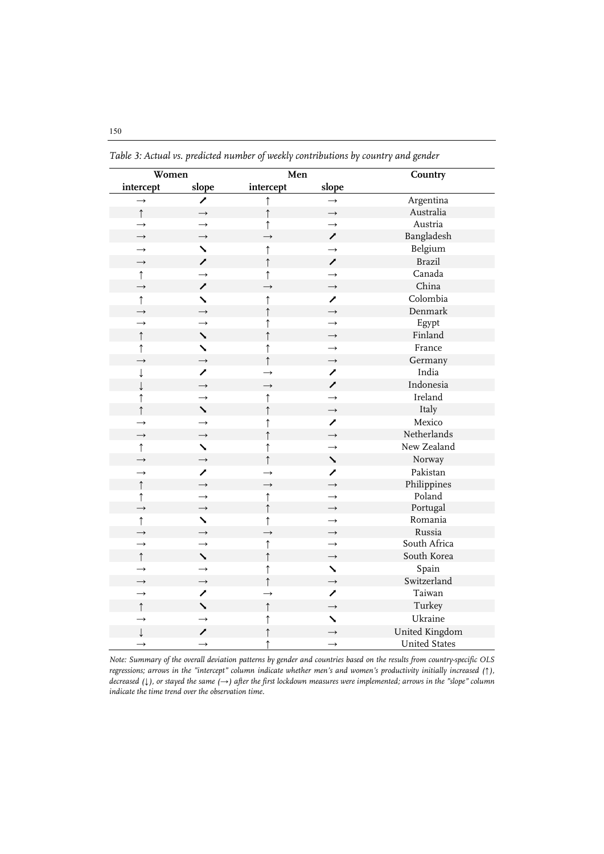| Women             |               | Men           |                           | Country              |
|-------------------|---------------|---------------|---------------------------|----------------------|
| intercept         | slope         | intercept     | slope                     |                      |
| $\rightarrow$     | ↗             | ↑             | $\rightarrow$             | Argentina            |
| $\uparrow$        | $\rightarrow$ | $\uparrow$    | $\rightarrow$             | Australia            |
| $\rightarrow$     | $\rightarrow$ | $\uparrow$    | $\rightarrow$             | Austria              |
| $\rightarrow$     | $\rightarrow$ | $\rightarrow$ | ╱                         | Bangladesh           |
| $\rightarrow$     | ↘             | ↑             | $\rightarrow$             | Belgium              |
| $\rightarrow$     | ↗             | ↑             | ↗                         | <b>Brazil</b>        |
| $\uparrow$        | $\rightarrow$ | $\uparrow$    | $\rightarrow$             | Canada               |
| $\rightarrow$     | ↗             | $\rightarrow$ | $\rightarrow$             | China                |
| $\uparrow$        | ╲             | ↑             | ╱                         | Colombia             |
| $\longrightarrow$ | $\rightarrow$ | $\uparrow$    | $\rightarrow$             | Denmark              |
| $\rightarrow$     | $\rightarrow$ | $\uparrow$    | $\rightarrow$             | Egypt                |
| $\uparrow$        | $\checkmark$  | $\uparrow$    | $\rightarrow$             | Finland              |
| $\uparrow$        | $\checkmark$  | $\uparrow$    | $\rightarrow$             | France               |
| $\rightarrow$     | $\rightarrow$ |               | $\rightarrow$             | Germany              |
| ↓                 | ↗             | $\rightarrow$ | ╱                         | India                |
| ↓                 | $\rightarrow$ | $\rightarrow$ | ↗                         | Indonesia            |
| $\uparrow$        | $\rightarrow$ | ↑             | $\rightarrow$             | Ireland              |
| $\uparrow$        | ╲             | $\uparrow$    | $\rightarrow$             | Italy                |
| $\rightarrow$     | $\rightarrow$ | ↑             | ↗                         | Mexico               |
| $\rightarrow$     | $\rightarrow$ | $\uparrow$    | $\rightarrow$             | Netherlands          |
| $\uparrow$        | $\checkmark$  | $\uparrow$    | $\rightarrow$             | New Zealand          |
| $\rightarrow$     | $\rightarrow$ | $\uparrow$    | $\overline{\phantom{0}}$  | Norway               |
| $\rightarrow$     | ↗             | $\rightarrow$ | ↗                         | Pakistan             |
| $\uparrow$        | $\rightarrow$ | $\rightarrow$ | $\rightarrow$             | Philippines          |
| $\uparrow$        | $\rightarrow$ | $\uparrow$    | $\rightarrow$             | Poland               |
| $\rightarrow$     | $\rightarrow$ | $\uparrow$    | $\rightarrow$             | Portugal             |
| $\uparrow$        | ╲             | $\uparrow$    | $\rightarrow$             | Romania              |
| $\rightarrow$     | $\rightarrow$ | $\rightarrow$ | $\rightarrow$             | Russia               |
| $\rightarrow$     | $\rightarrow$ | $\uparrow$    | $\rightarrow$             | South Africa         |
| $\uparrow$        | ↘             | ↑             | $\rightarrow$             | South Korea          |
| $\rightarrow$     | $\rightarrow$ | ↑             | $\boldsymbol{\mathsf{v}}$ | Spain                |
| $\rightarrow$     | $\rightarrow$ |               | $\rightarrow$             | Switzerland          |
| $\rightarrow$     | ↗             | $\rightarrow$ | ↗                         | Taiwan               |
| $\uparrow$        | ╲             | $\uparrow$    | $\rightarrow$             | Turkey               |
| $\rightarrow$     | $\rightarrow$ | ↑             | $\overline{\phantom{0}}$  | Ukraine              |
| $\downarrow$      | ∕             | $\uparrow$    | $\rightarrow$             | United Kingdom       |
| $\rightarrow$     | $\rightarrow$ | ↑             | $\rightarrow$             | <b>United States</b> |

*Table 3: Actual vs. predicted number of weekly contributions by country and gender*

*Note: Summary of the overall deviation patterns by gender and countries based on the results from country-specific OLS regressions; arrows in the "intercept" column indicate whether men's and women's productivity initially increased (↑), decreased (↓), or stayed the same (→) after the first lockdown measures were implemented; arrows in the "slope" column indicate the time trend over the observation time.*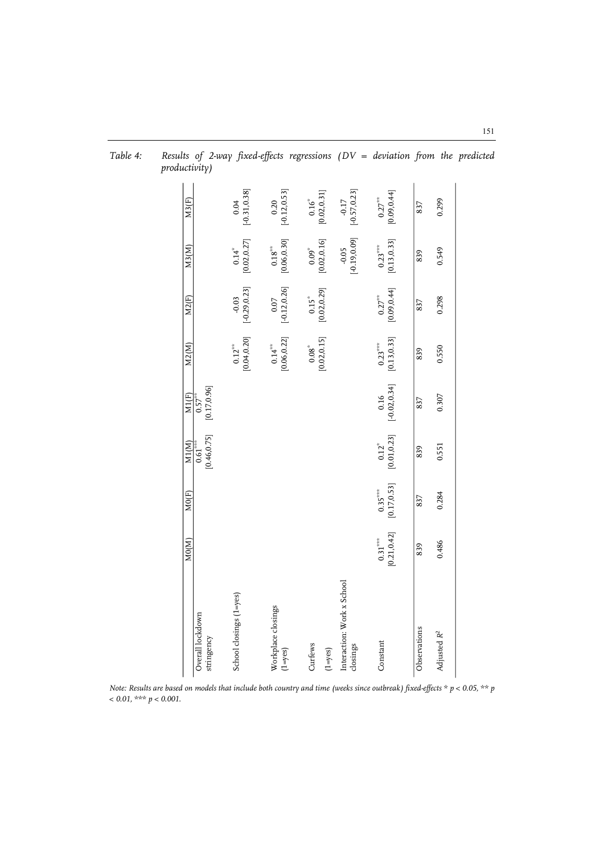|                                           | MO(M)                     | MO(F)                    | M1(M)                                                 | M1(F)                      | M2(M)                       | M2(F)                                               | M3(M)                                                     | M3(F)                                                  |
|-------------------------------------------|---------------------------|--------------------------|-------------------------------------------------------|----------------------------|-----------------------------|-----------------------------------------------------|-----------------------------------------------------------|--------------------------------------------------------|
| Overall lockdown<br>stringency            |                           |                          | [0.46, 0.75]<br>$0.61^{\tiny\it{***}}$                | $0.57^{**}$<br>[0.17,0.96] |                             |                                                     |                                                           |                                                        |
| School closings (1=yes)                   |                           |                          |                                                       |                            | $0.12^{***}$<br>[0.04,0.20] | $-0.03$<br>$[-0.29, 0.23]$                          | $0.14$ <sup>*</sup><br>[0.02,0.27]                        | $[0.04$ [-0.31,0.38]                                   |
| Workplace closings<br>$(1 = y \text{es})$ |                           |                          |                                                       |                            | $0.14***$<br>[0.06,0.22]    | $[0.07$<br>[-0.12,0.26]                             | $\begin{array}{c} 0.18^{***} \\ [0.06, 0.30] \end{array}$ | $[0.20$<br>[-0.12,0.53]                                |
| Curfews<br>$(1 = y \text{es})$            |                           |                          |                                                       |                            | [0.02, 0.15]<br>$0.08^{*}$  | $\begin{array}{c} 0.15^* \\ 0.02, 0.29 \end{array}$ | [0.02, 0.16]<br>$0.09^{\ast}$                             | $\begin{array}{c} 0.16^{*} \\ 0.02, 0.31] \end{array}$ |
| Interaction: Work x School<br>closings    |                           |                          |                                                       |                            |                             |                                                     | $[-0.19, 0.09]$<br>$-0.05$                                | $-0.17$<br>[-0.57,0.23]                                |
| Constant                                  | [0.21, 0.42]<br>$0.31***$ | $0.35***$<br>[0.17,0.53] | $\begin{array}{c} 0.12^{*} \\ 0.01, 0.23 \end{array}$ | $0.16$<br>[-0.02,0.34]     | $0.23***$<br>[0.13,0.33]    | $0.27***$<br>[0.09,0.44]                            | $0.23***$<br>[0.13,0.33]                                  | $0.27***$<br>[0.09,0.44]                               |
| Observations                              | 839                       | 837                      | 839                                                   | 837                        | 839                         | 837                                                 | 839                                                       | 837                                                    |
| Adjusted R <sup>2</sup>                   | 0.486                     | 0.284                    | 0.551                                                 | 0.307                      | 0.550                       | 0.298                                               | 0.549                                                     | 0.299                                                  |
|                                           |                           |                          |                                                       |                            |                             |                                                     |                                                           |                                                        |

*Table 4: Results of 2-way fixed-effects regressions (DV = deviation from the predicted productivity)*

*Note: Results are based on models that include both country and time (weeks since outbreak) fixed-effects \* p < 0.05, \*\* p < 0.01, \*\*\* p < 0.001.*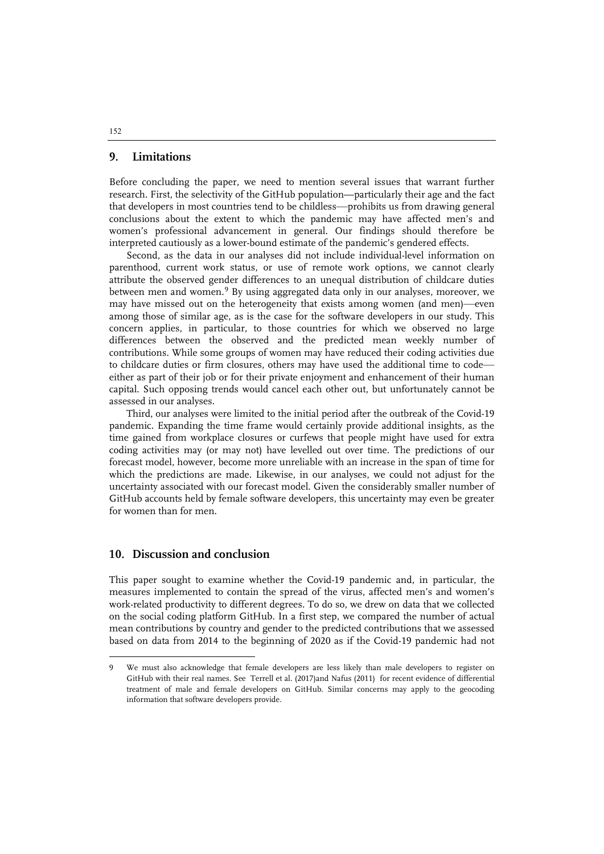## **9. Limitations**

Before concluding the paper, we need to mention several issues that warrant further research. First, the selectivity of the GitHub population—particularly their age and the fact that developers in most countries tend to be childless—prohibits us from drawing general conclusions about the extent to which the pandemic may have affected men's and women's professional advancement in general. Our findings should therefore be interpreted cautiously as a lower-bound estimate of the pandemic's gendered effects.

Second, as the data in our analyses did not include individual-level information on parenthood, current work status, or use of remote work options, we cannot clearly attribute the observed gender differences to an unequal distribution of childcare duties between men and women.<sup>[9](#page-18-0)</sup> By using aggregated data only in our analyses, moreover, we may have missed out on the heterogeneity that exists among women (and men)—even among those of similar age, as is the case for the software developers in our study. This concern applies, in particular, to those countries for which we observed no large differences between the observed and the predicted mean weekly number of contributions. While some groups of women may have reduced their coding activities due to childcare duties or firm closures, others may have used the additional time to code either as part of their job or for their private enjoyment and enhancement of their human capital. Such opposing trends would cancel each other out, but unfortunately cannot be assessed in our analyses.

Third, our analyses were limited to the initial period after the outbreak of the Covid-19 pandemic. Expanding the time frame would certainly provide additional insights, as the time gained from workplace closures or curfews that people might have used for extra coding activities may (or may not) have levelled out over time. The predictions of our forecast model, however, become more unreliable with an increase in the span of time for which the predictions are made. Likewise, in our analyses, we could not adjust for the uncertainty associated with our forecast model. Given the considerably smaller number of GitHub accounts held by female software developers, this uncertainty may even be greater for women than for men.

# **10. Discussion and conclusion**

j

This paper sought to examine whether the Covid-19 pandemic and, in particular, the measures implemented to contain the spread of the virus, affected men's and women's work-related productivity to different degrees. To do so, we drew on data that we collected on the social coding platform GitHub. In a first step, we compared the number of actual mean contributions by country and gender to the predicted contributions that we assessed based on data from 2014 to the beginning of 2020 as if the Covid-19 pandemic had not

<span id="page-18-0"></span><sup>9</sup> We must also acknowledge that female developers are less likely than male developers to register on GitHub with their real names. See Terrell et al. (2017)and Nafus (2011) for recent evidence of differential treatment of male and female developers on GitHub. Similar concerns may apply to the geocoding information that software developers provide.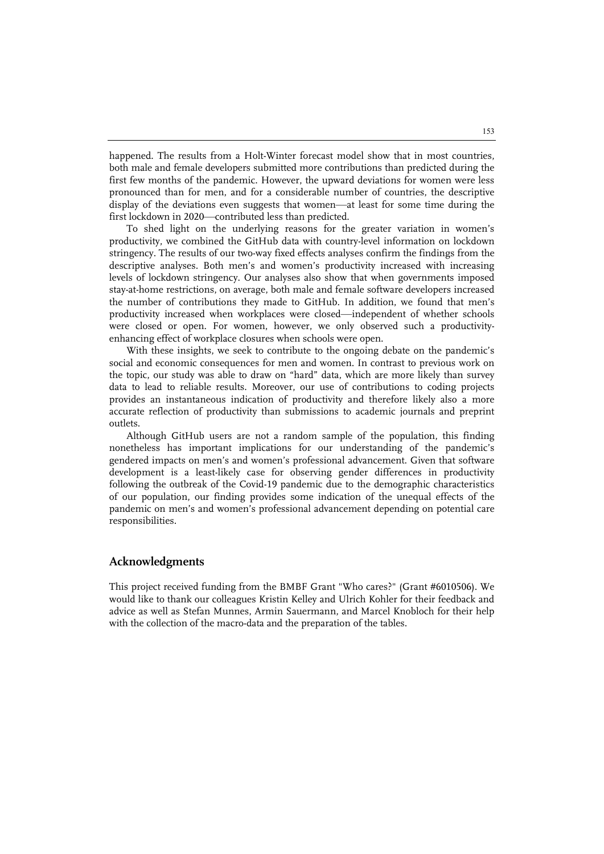happened. The results from a Holt-Winter forecast model show that in most countries, both male and female developers submitted more contributions than predicted during the first few months of the pandemic. However, the upward deviations for women were less pronounced than for men, and for a considerable number of countries, the descriptive display of the deviations even suggests that women—at least for some time during the first lockdown in 2020—contributed less than predicted.

To shed light on the underlying reasons for the greater variation in women's productivity, we combined the GitHub data with country-level information on lockdown stringency. The results of our two-way fixed effects analyses confirm the findings from the descriptive analyses. Both men's and women's productivity increased with increasing levels of lockdown stringency. Our analyses also show that when governments imposed stay-at-home restrictions, on average, both male and female software developers increased the number of contributions they made to GitHub. In addition, we found that men's productivity increased when workplaces were closed—independent of whether schools were closed or open. For women, however, we only observed such a productivityenhancing effect of workplace closures when schools were open.

With these insights, we seek to contribute to the ongoing debate on the pandemic's social and economic consequences for men and women. In contrast to previous work on the topic, our study was able to draw on "hard" data, which are more likely than survey data to lead to reliable results. Moreover, our use of contributions to coding projects provides an instantaneous indication of productivity and therefore likely also a more accurate reflection of productivity than submissions to academic journals and preprint outlets.

Although GitHub users are not a random sample of the population, this finding nonetheless has important implications for our understanding of the pandemic's gendered impacts on men's and women's professional advancement. Given that software development is a least-likely case for observing gender differences in productivity following the outbreak of the Covid-19 pandemic due to the demographic characteristics of our population, our finding provides some indication of the unequal effects of the pandemic on men's and women's professional advancement depending on potential care responsibilities.

#### **Acknowledgments**

This project received funding from the BMBF Grant "Who cares?" (Grant #6010506). We would like to thank our colleagues Kristin Kelley and Ulrich Kohler for their feedback and advice as well as Stefan Munnes, Armin Sauermann, and Marcel Knobloch for their help with the collection of the macro-data and the preparation of the tables.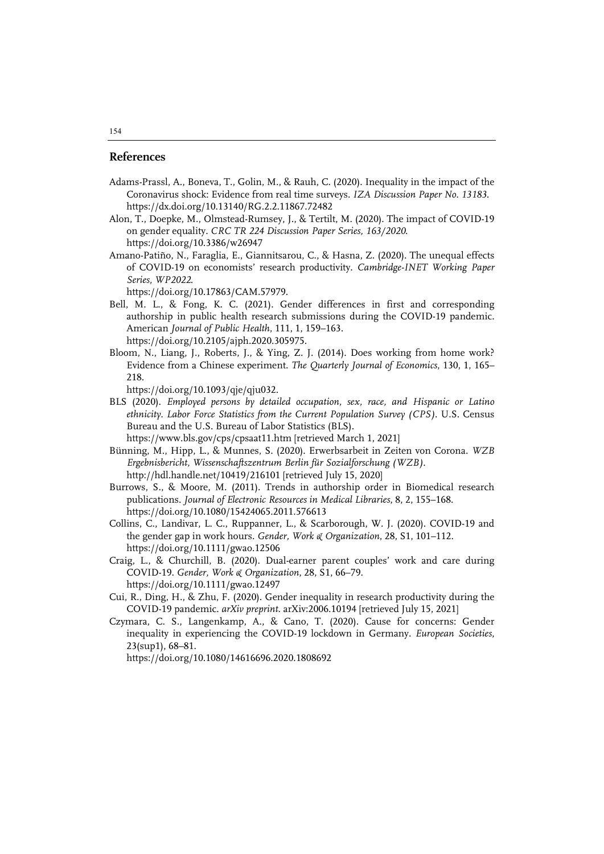#### **References**

- Adams-Prassl, A., Boneva, T., Golin, M., & Rauh, C. (2020). Inequality in the impact of the Coronavirus shock: Evidence from real time surveys. *IZA Discussion Paper No. 13183*. https://dx.doi.org/10.13140/RG.2.2.11867.72482
- Alon, T., Doepke, M., Olmstead-Rumsey, J., & Tertilt, M. (2020). The impact of COVID-19 on gender equality. *CRC TR 224 Discussion Paper Series, 163/2020*. https://doi.org/10.3386/w26947
- Amano-Patiño, N., Faraglia, E., Giannitsarou, C., & Hasna, Z. (2020). The unequal effects of COVID-19 on economists' research productivity. *Cambridge-INET Working Paper Series, WP2022*.
	- https://doi.org/10.17863/CAM.57979.
- Bell, M. L., & Fong, K. C. (2021). Gender differences in first and corresponding authorship in public health research submissions during the COVID-19 pandemic. American *Journal of Public Health*, 111, 1, 159–163. https://doi.org/10.2105/ajph.2020.305975.
- Bloom, N., Liang, J., Roberts, J., & Ying, Z. J. (2014). Does working from home work? Evidence from a Chinese experiment. *The Quarterly Journal of Economics*, 130, 1, 165– 218.
	- https://doi.org/10.1093/qje/qju032.
- BLS (2020). *Employed persons by detailed occupation, sex, race, and Hispanic or Latino ethnicity. Labor Force Statistics from the Current Population Survey (CPS)*. U.S. Census Bureau and the U.S. Bureau of Labor Statistics (BLS).

https://www.bls.gov/cps/cpsaat11.htm [retrieved March 1, 2021]

- Bünning, M., Hipp, L., & Munnes, S. (2020). Erwerbsarbeit in Zeiten von Corona. *WZB Ergebnisbericht, Wissenschaftszentrum Berlin für Sozialforschung (WZB)*. http://hdl.handle.net/10419/216101 [retrieved July 15, 2020]
- Burrows, S., & Moore, M. (2011). Trends in authorship order in Biomedical research publications. *Journal of Electronic Resources in Medical Libraries*, 8, 2, 155–168. https://doi.org/10.1080/15424065.2011.576613
- Collins, C., Landivar, L. C., Ruppanner, L., & Scarborough, W. J. (2020). COVID-19 and the gender gap in work hours. *Gender, Work & Organization*, 28, S1, 101–112. https://doi.org/10.1111/gwao.12506
- Craig, L., & Churchill, B. (2020). Dual-earner parent couples' work and care during COVID-19. *Gender, Work & Organization*, 28, S1, 66–79. https://doi.org/10.1111/gwao.12497
- Cui, R., Ding, H., & Zhu, F. (2020). Gender inequality in research productivity during the COVID-19 pandemic. *arXiv preprint*. arXiv:2006.10194 [retrieved July 15, 2021]
- Czymara, C. S., Langenkamp, A., & Cano, T. (2020). Cause for concerns: Gender inequality in experiencing the COVID-19 lockdown in Germany. *European Societies*, 23(sup1), 68–81.

https://doi.org/10.1080/14616696.2020.1808692

#### 154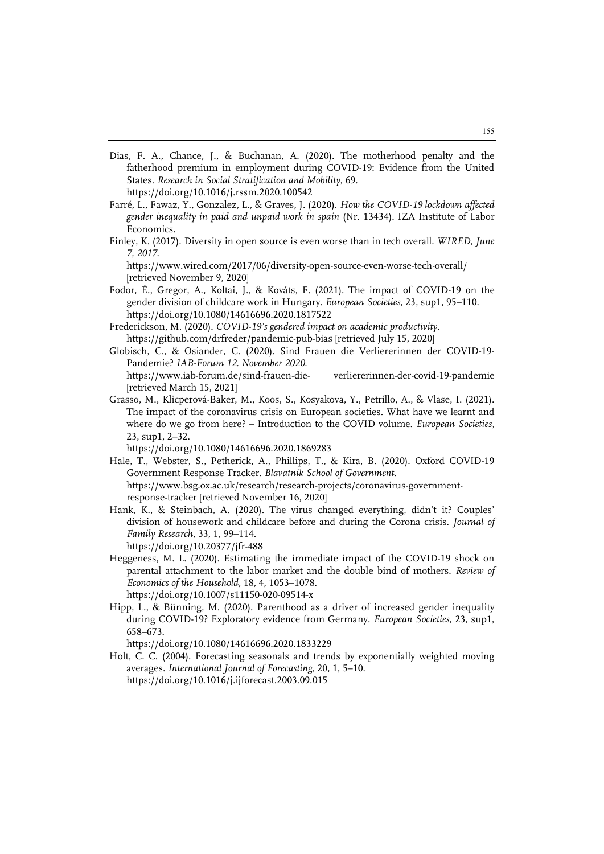- Dias, F. A., Chance, J., & Buchanan, A. (2020). The motherhood penalty and the fatherhood premium in employment during COVID-19: Evidence from the United States. *Research in Social Stratification and Mobility*, 69. https://doi.org/10.1016/j.rssm.2020.100542
- Farré, L., Fawaz, Y., Gonzalez, L., & Graves, J. (2020). *How the COVID-19 lockdown affected gender inequality in paid and unpaid work in spain* (Nr. 13434). IZA Institute of Labor Economics.
- Finley, K. (2017). Diversity in open source is even worse than in tech overall. *WIRED, June 7, 2017*.

https://www.wired.com/2017/06/diversity-open-source-even-worse-tech-overall/ [retrieved November 9, 2020]

- Fodor, É., Gregor, A., Koltai, J., & Kováts, E. (2021). The impact of COVID-19 on the gender division of childcare work in Hungary. *European Societies*, 23, sup1, 95–110. https://doi.org/10.1080/14616696.2020.1817522
- Frederickson, M. (2020). *COVID-19's gendered impact on academic productivity.* https://github.com/drfreder/pandemic-pub-bias [retrieved July 15, 2020]
- Globisch, C., & Osiander, C. (2020). Sind Frauen die Verliererinnen der COVID-19- Pandemie? *IAB-Forum 12. November 2020*. https://www.iab-forum.de/sind-frauen-die- verliererinnen-der-covid-19-pandemie [retrieved March 15, 2021]
- Grasso, M., Klicperová-Baker, M., Koos, S., Kosyakova, Y., Petrillo, A., & Vlase, I. (2021). The impact of the coronavirus crisis on European societies. What have we learnt and where do we go from here? – Introduction to the COVID volume. *European Societies*, 23, sup1, 2–32.

https://doi.org/10.1080/14616696.2020.1869283

- Hale, T., Webster, S., Petherick, A., Phillips, T., & Kira, B. (2020). Oxford COVID-19 Government Response Tracker. *Blavatnik School of Government*. https://www.bsg.ox.ac.uk/research/research-projects/coronavirus-governmentresponse-tracker [retrieved November 16, 2020]
- Hank, K., & Steinbach, A. (2020). The virus changed everything, didn't it? Couples' division of housework and childcare before and during the Corona crisis. *Journal of Family Research*, 33, 1, 99–114. https://doi.org/10.20377/jfr-488
- Heggeness, M. L. (2020). Estimating the immediate impact of the COVID-19 shock on parental attachment to the labor market and the double bind of mothers. *Review of Economics of the Household*, 18, 4, 1053–1078. https://doi.org/10.1007/s11150-020-09514-x
- Hipp, L., & Bünning, M. (2020). Parenthood as a driver of increased gender inequality during COVID-19? Exploratory evidence from Germany. *European Societies*, 23, sup1, 658–673.

https://doi.org/10.1080/14616696.2020.1833229

Holt, C. C. (2004). Forecasting seasonals and trends by exponentially weighted moving averages. *International Journal of Forecasting*, 20, 1, 5–10. https://doi.org/10.1016/j.ijforecast.2003.09.015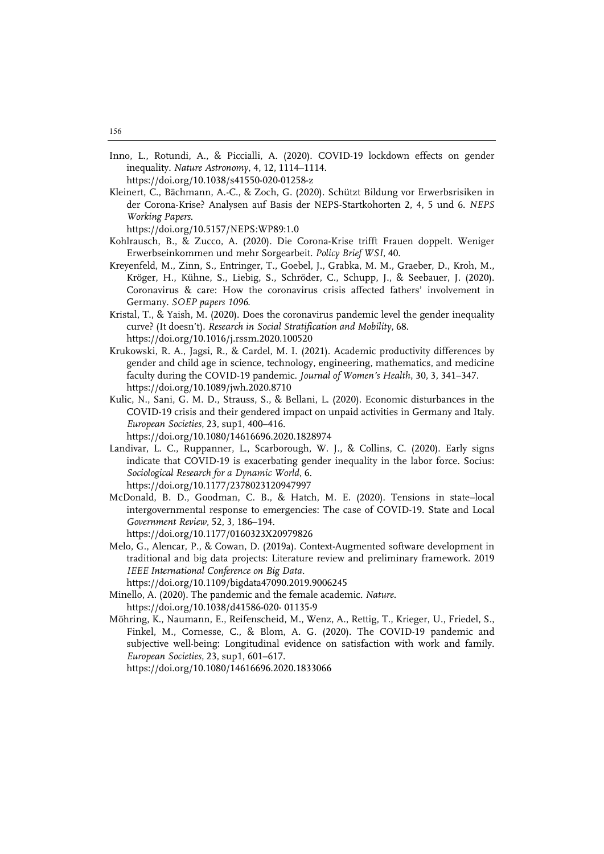Inno, L., Rotundi, A., & Piccialli, A. (2020). COVID-19 lockdown effects on gender inequality. *Nature Astronomy*, 4, 12, 1114–1114.

https://doi.org/10.1038/s41550-020-01258-z

Kleinert, C., Bächmann, A.-C., & Zoch, G. (2020). Schützt Bildung vor Erwerbsrisiken in der Corona-Krise? Analysen auf Basis der NEPS-Startkohorten 2, 4, 5 und 6. *NEPS Working Papers*.

https://doi.org/10.5157/NEPS:WP89:1.0

- Kohlrausch, B., & Zucco, A. (2020). Die Corona-Krise trifft Frauen doppelt. Weniger Erwerbseinkommen und mehr Sorgearbeit. *Policy Brief WSI*, 40.
- Kreyenfeld, M., Zinn, S., Entringer, T., Goebel, J., Grabka, M. M., Graeber, D., Kroh, M., Kröger, H., Kühne, S., Liebig, S., Schröder, C., Schupp, J., & Seebauer, J. (2020). Coronavirus & care: How the coronavirus crisis affected fathers' involvement in Germany. *SOEP papers 1096*.
- Kristal, T., & Yaish, M. (2020). Does the coronavirus pandemic level the gender inequality curve? (It doesn't). *Research in Social Stratification and Mobility*, 68. https://doi.org/10.1016/j.rssm.2020.100520
- Krukowski, R. A., Jagsi, R., & Cardel, M. I. (2021). Academic productivity differences by gender and child age in science, technology, engineering, mathematics, and medicine faculty during the COVID-19 pandemic. *Journal of Women's Health*, 30, 3, 341–347. https://doi.org/10.1089/jwh.2020.8710
- Kulic, N., Sani, G. M. D., Strauss, S., & Bellani, L. (2020). Economic disturbances in the COVID-19 crisis and their gendered impact on unpaid activities in Germany and Italy. *European Societies*, 23, sup1, 400–416. https://doi.org/10.1080/14616696.2020.1828974
- Landivar, L. C., Ruppanner, L., Scarborough, W. J., & Collins, C. (2020). Early signs indicate that COVID-19 is exacerbating gender inequality in the labor force. Socius: *Sociological Research for a Dynamic World*, 6. https://doi.org/10.1177/2378023120947997
- McDonald, B. D., Goodman, C. B., & Hatch, M. E. (2020). Tensions in state–local intergovernmental response to emergencies: The case of COVID-19. State and Local *Government Review*, 52, 3, 186–194.
	- https://doi.org/10.1177/0160323X20979826
- Melo, G., Alencar, P., & Cowan, D. (2019a). Context-Augmented software development in traditional and big data projects: Literature review and preliminary framework. 2019 *IEEE International Conference on Big Data*.

https://doi.org/10.1109/bigdata47090.2019.9006245

Minello, A. (2020). The pandemic and the female academic. *Nature*.

https://doi.org/10.1038/d41586-020- 01135-9

Möhring, K., Naumann, E., Reifenscheid, M., Wenz, A., Rettig, T., Krieger, U., Friedel, S., Finkel, M., Cornesse, C., & Blom, A. G. (2020). The COVID-19 pandemic and subjective well-being: Longitudinal evidence on satisfaction with work and family. *European Societies*, 23, sup1, 601–617.

https://doi.org/10.1080/14616696.2020.1833066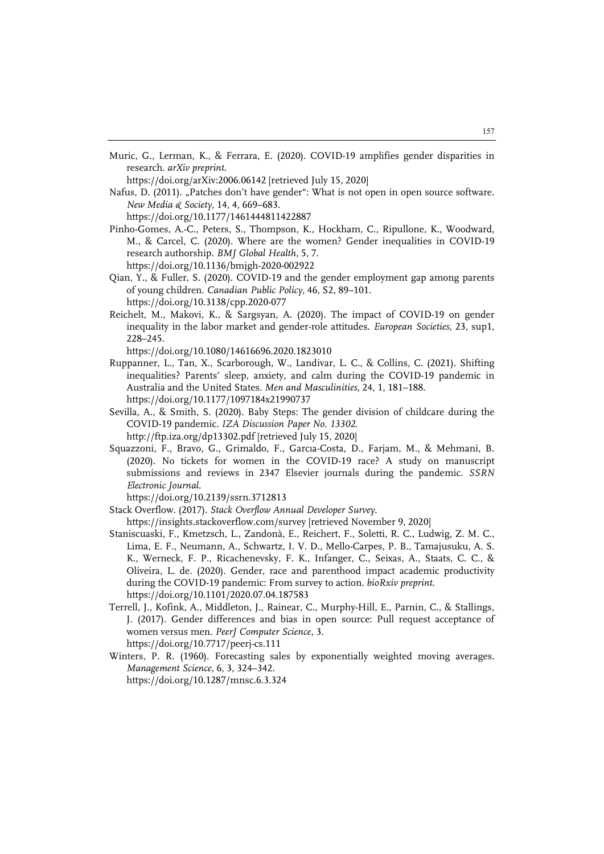Muric, G., Lerman, K., & Ferrara, E. (2020). COVID-19 amplifies gender disparities in research. *arXiv preprint*.

https://doi.org/arXiv:2006.06142 [retrieved July 15, 2020]

Nafus, D. (2011). "Patches don't have gender": What is not open in open source software. *New Media & Society*, 14, 4, 669–683.

https://doi.org/10.1177/1461444811422887

- Pinho-Gomes, A.-C., Peters, S., Thompson, K., Hockham, C., Ripullone, K., Woodward, M., & Carcel, C. (2020). Where are the women? Gender inequalities in COVID-19 research authorship. *BMJ Global Health*, 5, 7. https://doi.org/10.1136/bmjgh-2020-002922
- Qian, Y., & Fuller, S. (2020). COVID-19 and the gender employment gap among parents of young children. *Canadian Public Policy*, 46, S2, 89–101. https://doi.org/10.3138/cpp.2020-077
- Reichelt, M., Makovi, K., & Sargsyan, A. (2020). The impact of COVID-19 on gender inequality in the labor market and gender-role attitudes. *European Societies*, 23, sup1, 228–245.

https://doi.org/10.1080/14616696.2020.1823010

- Ruppanner, L., Tan, X., Scarborough, W., Landivar, L. C., & Collins, C. (2021). Shifting inequalities? Parents' sleep, anxiety, and calm during the COVID-19 pandemic in Australia and the United States*. Men and Masculinities*, 24, 1, 181–188. https://doi.org/10.1177/1097184x21990737
- Sevilla, A., & Smith, S. (2020). Baby Steps: The gender division of childcare during the COVID-19 pandemic. *IZA Discussion Paper No. 13302*. http://ftp.iza.org/dp13302.pdf [retrieved July 15, 2020]
- Squazzoni, F., Bravo, G., Grimaldo, F., Garcıa-Costa, D., Farjam, M., & Mehmani, B. (2020). No tickets for women in the COVID-19 race? A study on manuscript submissions and reviews in 2347 Elsevier journals during the pandemic. *SSRN Electronic Journal*.

https://doi.org/10.2139/ssrn.3712813

- Stack Overflow. (2017). *Stack Overflow Annual Developer Survey*.
- https://insights.stackoverflow.com/survey [retrieved November 9, 2020]
- Staniscuaski, F., Kmetzsch, L., Zandonà, E., Reichert, F., Soletti, R. C., Ludwig, Z. M. C., Lima, E. F., Neumann, A., Schwartz, I. V. D., Mello-Carpes, P. B., Tamajusuku, A. S. K., Werneck, F. P., Ricachenevsky, F. K., Infanger, C., Seixas, A., Staats, C. C., & Oliveira, L. de. (2020). Gender, race and parenthood impact academic productivity during the COVID-19 pandemic: From survey to action. *bioRxiv preprint*. https://doi.org/10.1101/2020.07.04.187583
- Terrell, J., Kofink, A., Middleton, J., Rainear, C., Murphy-Hill, E., Parnin, C., & Stallings, J. (2017). Gender differences and bias in open source: Pull request acceptance of women versus men. *PeerJ Computer Science*, 3. https://doi.org/10.7717/peerj-cs.111
- Winters, P. R. (1960). Forecasting sales by exponentially weighted moving averages. *Management Science*, 6, 3, 324–342. https://doi.org/10.1287/mnsc.6.3.324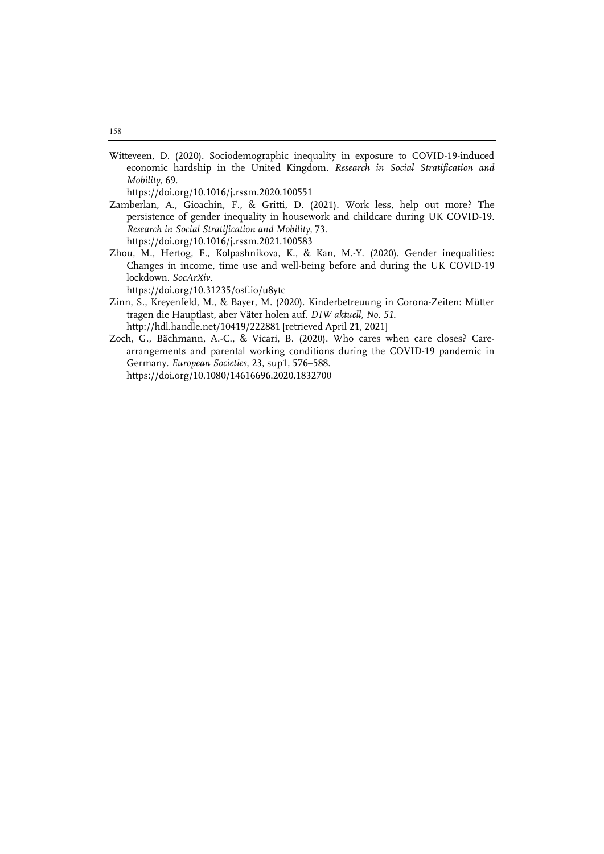Witteveen, D. (2020). Sociodemographic inequality in exposure to COVID-19-induced economic hardship in the United Kingdom. *Research in Social Stratification and Mobility*, 69.

https://doi.org/10.1016/j.rssm.2020.100551

- Zamberlan, A., Gioachin, F., & Gritti, D. (2021). Work less, help out more? The persistence of gender inequality in housework and childcare during UK COVID-19. *Research in Social Stratification and Mobility*, 73. https://doi.org/10.1016/j.rssm.2021.100583
- Zhou, M., Hertog, E., Kolpashnikova, K., & Kan, M.-Y. (2020). Gender inequalities: Changes in income, time use and well-being before and during the UK COVID-19 lockdown. *SocArXiv.*

https://doi.org/10.31235/osf.io/u8ytc

- Zinn, S., Kreyenfeld, M., & Bayer, M. (2020). Kinderbetreuung in Corona-Zeiten: Mütter tragen die Hauptlast, aber Väter holen auf. *DIW aktuell, No. 51.* http://hdl.handle.net/10419/222881 [retrieved April 21, 2021]
- Zoch, G., Bächmann, A.-C., & Vicari, B. (2020). Who cares when care closes? Carearrangements and parental working conditions during the COVID-19 pandemic in Germany. *European Societies*, 23, sup1, 576–588. https://doi.org/10.1080/14616696.2020.1832700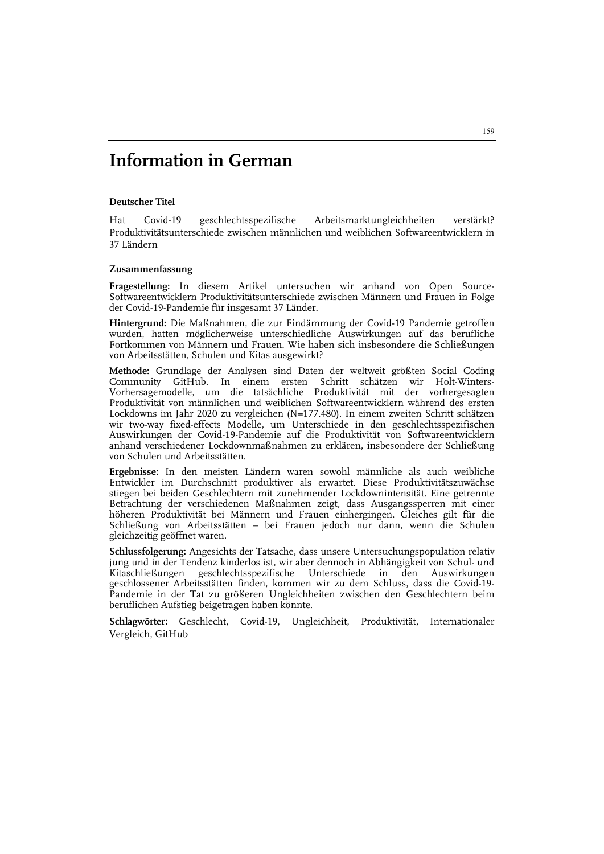# **Information in German**

#### **Deutscher Titel**

Hat Covid-19 geschlechtsspezifische Arbeitsmarktungleichheiten verstärkt? Produktivitätsunterschiede zwischen männlichen und weiblichen Softwareentwicklern in 37 Ländern

#### **Zusammenfassung**

**Fragestellung:** In diesem Artikel untersuchen wir anhand von Open Source-Softwareentwicklern Produktivitätsunterschiede zwischen Männern und Frauen in Folge der Covid-19-Pandemie für insgesamt 37 Länder.

**Hintergrund:** Die Maßnahmen, die zur Eindämmung der Covid-19 Pandemie getroffen wurden, hatten möglicherweise unterschiedliche Auswirkungen auf das berufliche Fortkommen von Männern und Frauen. Wie haben sich insbesondere die Schließungen von Arbeitsstätten, Schulen und Kitas ausgewirkt?

**Methode:** Grundlage der Analysen sind Daten der weltweit größten Social Coding Community GitHub. In einem ersten Schritt schätzen wir Holt-Winters-Vorhersagemodelle, um die tatsächliche Produktivität mit der vorhergesagten Produktivität von männlichen und weiblichen Softwareentwicklern während des ersten Lockdowns im Jahr 2020 zu vergleichen (N=177.480). In einem zweiten Schritt schätzen wir two-way fixed-effects Modelle, um Unterschiede in den geschlechtsspezifischen Auswirkungen der Covid-19-Pandemie auf die Produktivität von Softwareentwicklern anhand verschiedener Lockdownmaßnahmen zu erklären, insbesondere der Schließung von Schulen und Arbeitsstätten.

**Ergebnisse:** In den meisten Ländern waren sowohl männliche als auch weibliche Entwickler im Durchschnitt produktiver als erwartet. Diese Produktivitätszuwächse stiegen bei beiden Geschlechtern mit zunehmender Lockdownintensität. Eine getrennte Betrachtung der verschiedenen Maßnahmen zeigt, dass Ausgangssperren mit einer höheren Produktivität bei Männern und Frauen einhergingen. Gleiches gilt für die Schließung von Arbeitsstätten – bei Frauen jedoch nur dann, wenn die Schulen gleichzeitig geöffnet waren.

**Schlussfolgerung:** Angesichts der Tatsache, dass unsere Untersuchungspopulation relativ jung und in der Tendenz kinderlos ist, wir aber dennoch in Abhängigkeit von Schul- und Kitaschließungen geschlechtsspezifische Unterschiede in den Auswirkungen geschlossener Arbeitsstätten finden, kommen wir zu dem Schluss, dass die Covid-19- Pandemie in der Tat zu größeren Ungleichheiten zwischen den Geschlechtern beim beruflichen Aufstieg beigetragen haben könnte.

**Schlagwörter:** Geschlecht, Covid-19, Ungleichheit, Produktivität, Internationaler Vergleich, GitHub